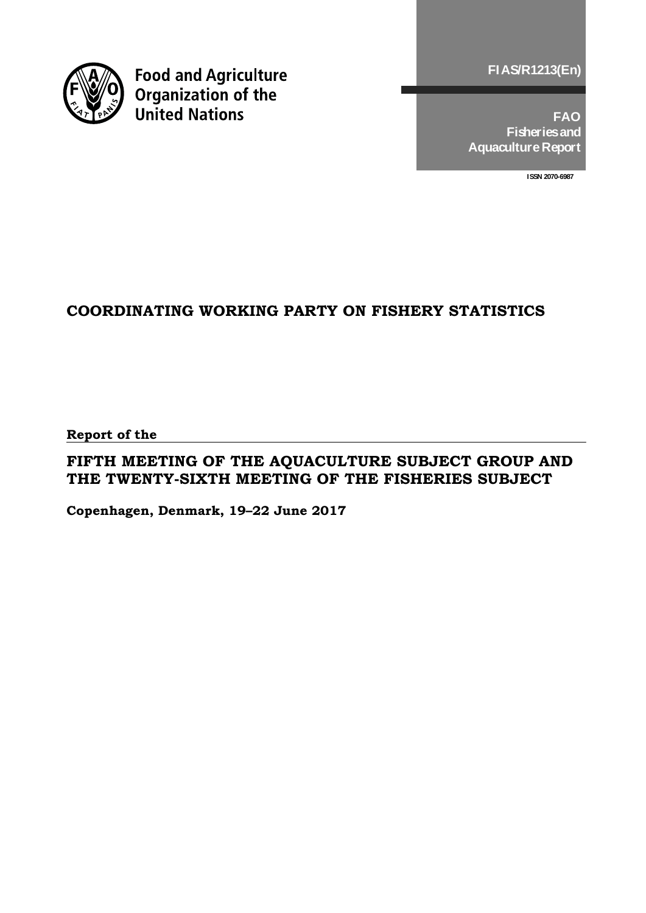**FIAS/R1213(En)**



**Food and Agriculture**<br>Organization of the **United Nations** 

**FAO Fisheries and Aquaculture Report**

**ISSN 2070-6987**

# **COORDINATING WORKING PARTY ON FISHERY STATISTICS**

**Report of the** 

**FIFTH MEETING OF THE AQUACULTURE SUBJECT GROUP AND THE TWENTY-SIXTH MEETING OF THE FISHERIES SUBJECT** 

**Copenhagen, Denmark, 19–22 June 2017**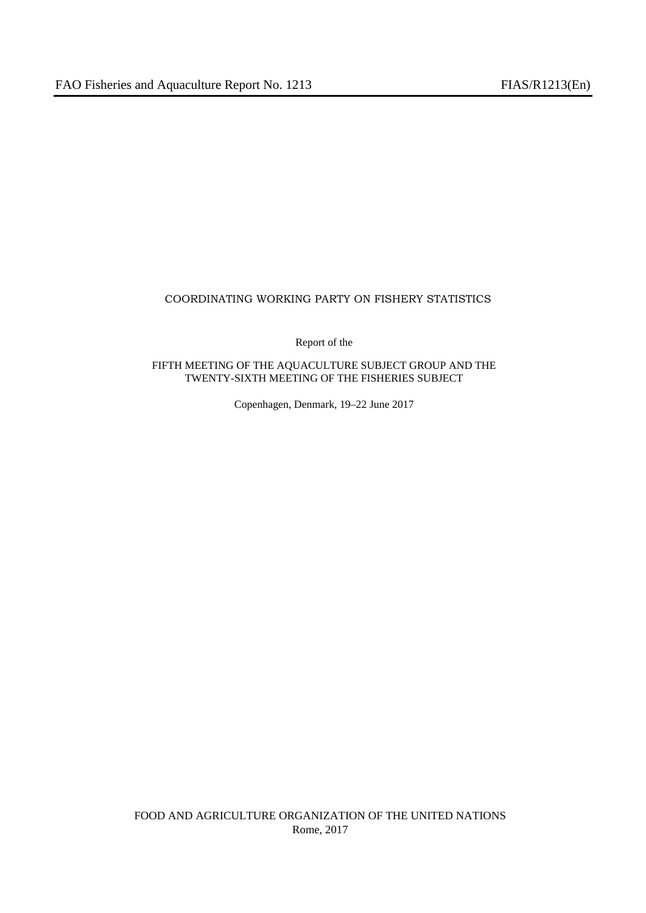### COORDINATING WORKING PARTY ON FISHERY STATISTICS

Report of the

### FIFTH MEETING OF THE AQUACULTURE SUBJECT GROUP AND THE TWENTY-SIXTH MEETING OF THE FISHERIES SUBJECT

Copenhagen, Denmark, 19–22 June 2017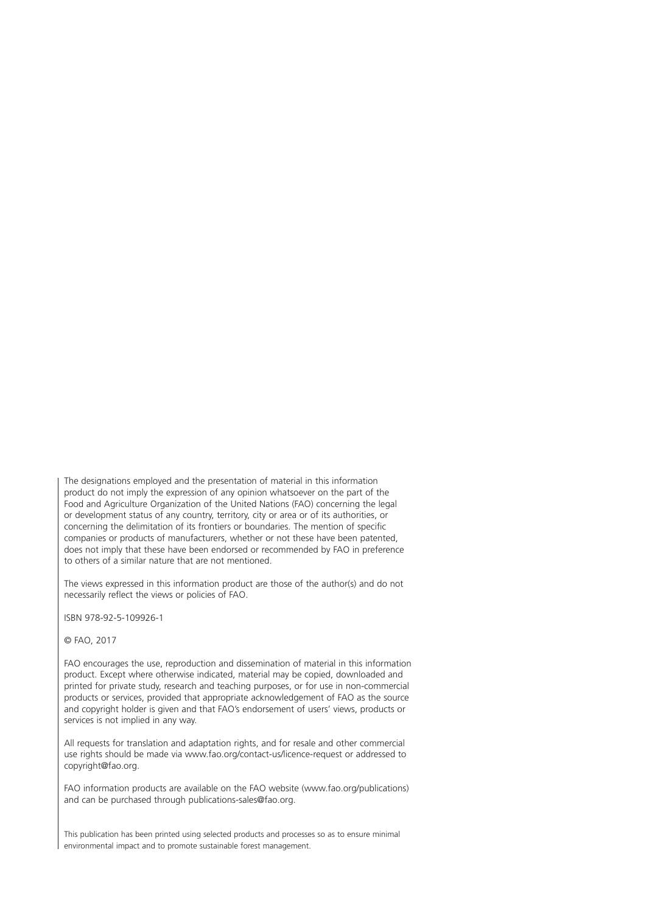The designations employed and the presentation of material in this information product do not imply the expression of any opinion whatsoever on the part of the Food and Agriculture Organization of the United Nations (FAO) concerning the legal or development status of any country, territory, city or area or of its authorities, or concerning the delimitation of its frontiers or boundaries. The mention of specific companies or products of manufacturers, whether or not these have been patented, does not imply that these have been endorsed or recommended by FAO in preference to others of a similar nature that are not mentioned.

The views expressed in this information product are those of the author(s) and do not necessarily reflect the views or policies of FAO.

ISBN 978-92-5-109926-1

© FAO, 2017

FAO encourages the use, reproduction and dissemination of material in this information product. Except where otherwise indicated, material may be copied, downloaded and printed for private study, research and teaching purposes, or for use in non-commercial products or services, provided that appropriate acknowledgement of FAO as the source and copyright holder is given and that FAO's endorsement of users' views, products or services is not implied in any way.

All requests for translation and adaptation rights, and for resale and other commercial use rights should be made via www.fao.org/contact-us/licence-request or addressed to copyright@fao.org.

FAO information products are available on the FAO website (www.fao.org/publications) and can be purchased through publications-sales@fao.org.

This publication has been printed using selected products and processes so as to ensure minimal environmental impact and to promote sustainable forest management.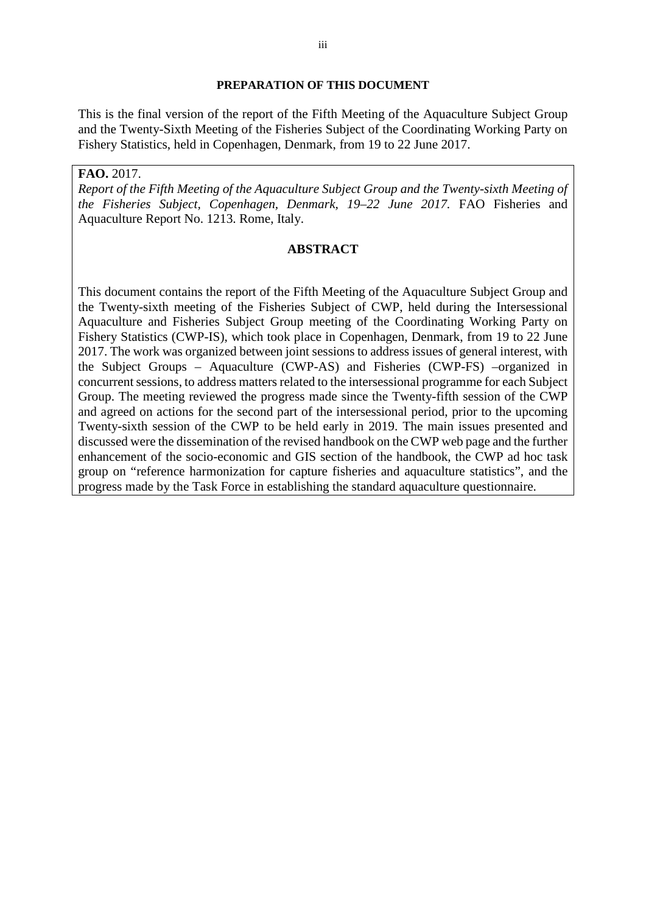### **PREPARATION OF THIS DOCUMENT**

This is the final version of the report of the Fifth Meeting of the Aquaculture Subject Group and the Twenty-Sixth Meeting of the Fisheries Subject of the Coordinating Working Party on Fishery Statistics, held in Copenhagen, Denmark, from 19 to 22 June 2017.

**FAO.** 2017.

*Report of the Fifth Meeting of the Aquaculture Subject Group and the Twenty-sixth Meeting of the Fisheries Subject, Copenhagen, Denmark, 19–22 June 2017.* FAO Fisheries and Aquaculture Report No. 1213. Rome, Italy.

### **ABSTRACT**

This document contains the report of the Fifth Meeting of the Aquaculture Subject Group and the Twenty-sixth meeting of the Fisheries Subject of CWP, held during the Intersessional Aquaculture and Fisheries Subject Group meeting of the Coordinating Working Party on Fishery Statistics (CWP-IS), which took place in Copenhagen, Denmark, from 19 to 22 June 2017. The work was organized between joint sessions to address issues of general interest, with the Subject Groups – Aquaculture (CWP-AS) and Fisheries (CWP-FS) –organized in concurrent sessions, to address matters related to the intersessional programme for each Subject Group. The meeting reviewed the progress made since the Twenty-fifth session of the CWP and agreed on actions for the second part of the intersessional period, prior to the upcoming Twenty-sixth session of the CWP to be held early in 2019. The main issues presented and discussed were the dissemination of the revised handbook on the CWP web page and the further enhancement of the socio-economic and GIS section of the handbook, the CWP ad hoc task group on "reference harmonization for capture fisheries and aquaculture statistics", and the progress made by the Task Force in establishing the standard aquaculture questionnaire.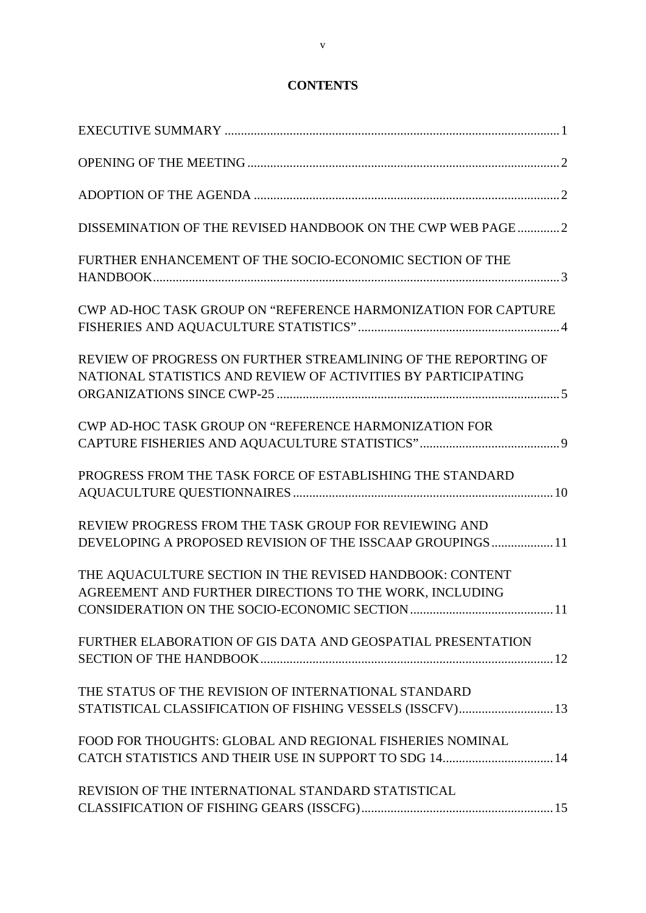# **CONTENTS**

| DISSEMINATION OF THE REVISED HANDBOOK ON THE CWP WEB PAGE2                                                                      |
|---------------------------------------------------------------------------------------------------------------------------------|
| FURTHER ENHANCEMENT OF THE SOCIO-ECONOMIC SECTION OF THE                                                                        |
| CWP AD-HOC TASK GROUP ON "REFERENCE HARMONIZATION FOR CAPTURE                                                                   |
| REVIEW OF PROGRESS ON FURTHER STREAMLINING OF THE REPORTING OF<br>NATIONAL STATISTICS AND REVIEW OF ACTIVITIES BY PARTICIPATING |
| CWP AD-HOC TASK GROUP ON "REFERENCE HARMONIZATION FOR                                                                           |
| PROGRESS FROM THE TASK FORCE OF ESTABLISHING THE STANDARD                                                                       |
| REVIEW PROGRESS FROM THE TASK GROUP FOR REVIEWING AND<br>DEVELOPING A PROPOSED REVISION OF THE ISSCAAP GROUPINGS 11             |
| THE AQUACULTURE SECTION IN THE REVISED HANDBOOK: CONTENT<br>AGREEMENT AND FURTHER DIRECTIONS TO THE WORK, INCLUDING             |
| FURTHER ELABORATION OF GIS DATA AND GEOSPATIAL PRESENTATION                                                                     |
| THE STATUS OF THE REVISION OF INTERNATIONAL STANDARD<br>STATISTICAL CLASSIFICATION OF FISHING VESSELS (ISSCFV) 13               |
| FOOD FOR THOUGHTS: GLOBAL AND REGIONAL FISHERIES NOMINAL<br>CATCH STATISTICS AND THEIR USE IN SUPPORT TO SDG 14 14              |
| REVISION OF THE INTERNATIONAL STANDARD STATISTICAL                                                                              |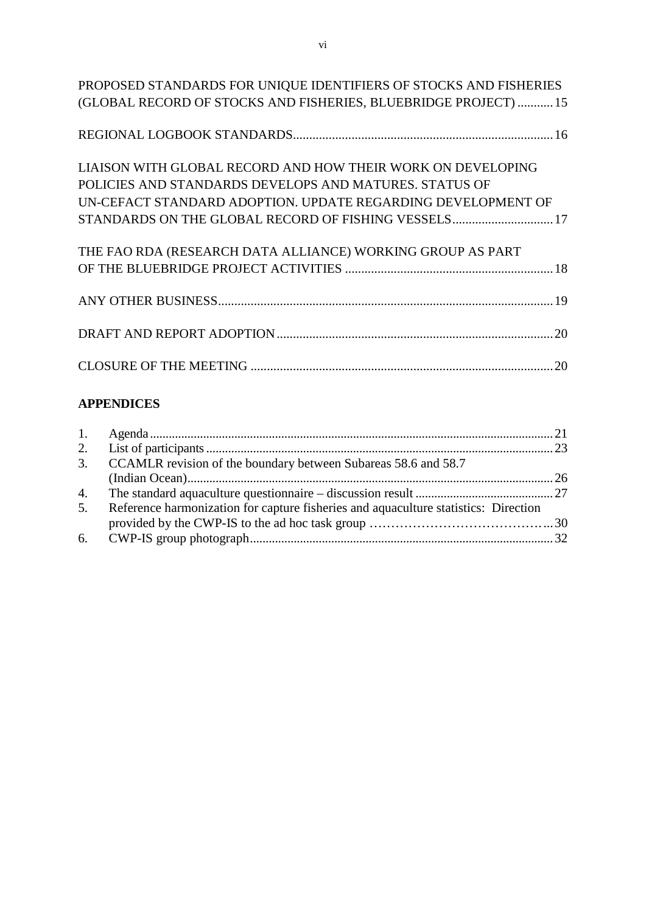| PROPOSED STANDARDS FOR UNIQUE IDENTIFIERS OF STOCKS AND FISHERIES |
|-------------------------------------------------------------------|
| (GLOBAL RECORD OF STOCKS AND FISHERIES, BLUEBRIDGE PROJECT)  15   |
|                                                                   |
|                                                                   |
| LIAISON WITH GLOBAL RECORD AND HOW THEIR WORK ON DEVELOPING       |
| POLICIES AND STANDARDS DEVELOPS AND MATURES. STATUS OF            |
| UN-CEFACT STANDARD ADOPTION. UPDATE REGARDING DEVELOPMENT OF      |
| STANDARDS ON THE GLOBAL RECORD OF FISHING VESSELS17               |
|                                                                   |
| THE FAO RDA (RESEARCH DATA ALLIANCE) WORKING GROUP AS PART        |
|                                                                   |
|                                                                   |
|                                                                   |
|                                                                   |
|                                                                   |
|                                                                   |
|                                                                   |
|                                                                   |

# **APPENDICES**

|    | 3. CCAMLR revision of the boundary between Subareas 58.6 and 58.7                   |  |
|----|-------------------------------------------------------------------------------------|--|
|    |                                                                                     |  |
| 4. |                                                                                     |  |
| 5. | Reference harmonization for capture fisheries and aquaculture statistics: Direction |  |
|    |                                                                                     |  |
|    |                                                                                     |  |
|    |                                                                                     |  |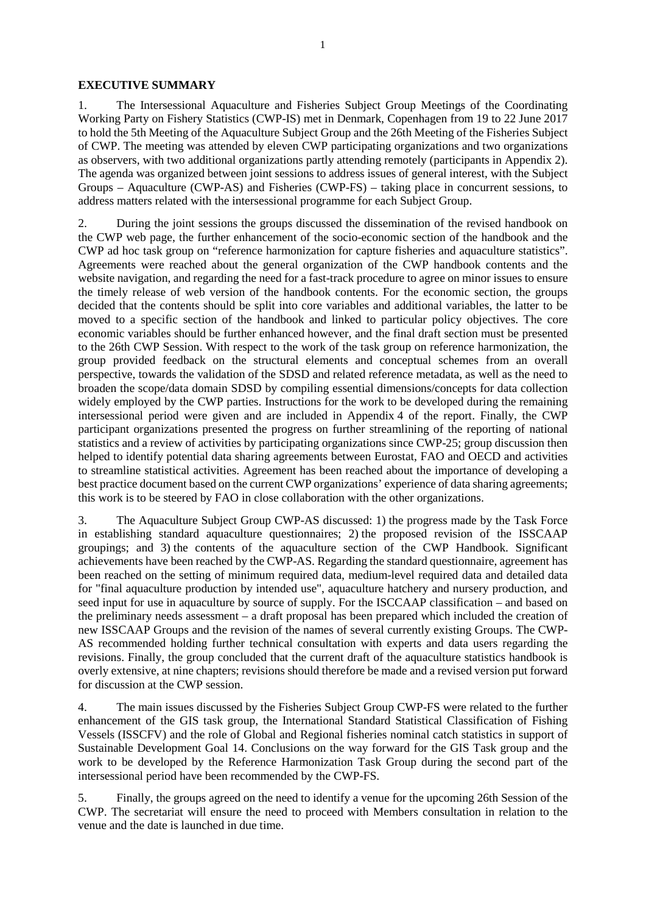### <span id="page-8-0"></span>**EXECUTIVE SUMMARY**

1. The Intersessional Aquaculture and Fisheries Subject Group Meetings of the Coordinating Working Party on Fishery Statistics (CWP-IS) met in Denmark, Copenhagen from 19 to 22 June 2017 to hold the 5th Meeting of the Aquaculture Subject Group and the 26th Meeting of the Fisheries Subject of CWP. The meeting was attended by eleven CWP participating organizations and two organizations as observers, with two additional organizations partly attending remotely (participants in Appendix 2). The agenda was organized between joint sessions to address issues of general interest, with the Subject Groups – Aquaculture (CWP-AS) and Fisheries (CWP-FS) – taking place in concurrent sessions, to address matters related with the intersessional programme for each Subject Group.

2. During the joint sessions the groups discussed the dissemination of the revised handbook on the CWP web page, the further enhancement of the socio-economic section of the handbook and the CWP ad hoc task group on "reference harmonization for capture fisheries and aquaculture statistics". Agreements were reached about the general organization of the CWP handbook contents and the website navigation, and regarding the need for a fast-track procedure to agree on minor issues to ensure the timely release of web version of the handbook contents. For the economic section, the groups decided that the contents should be split into core variables and additional variables, the latter to be moved to a specific section of the handbook and linked to particular policy objectives. The core economic variables should be further enhanced however, and the final draft section must be presented to the 26th CWP Session. With respect to the work of the task group on reference harmonization, the group provided feedback on the structural elements and conceptual schemes from an overall perspective, towards the validation of the SDSD and related reference metadata, as well as the need to broaden the scope/data domain SDSD by compiling essential dimensions/concepts for data collection widely employed by the CWP parties. Instructions for the work to be developed during the remaining intersessional period were given and are included in Appendix 4 of the report. Finally, the CWP participant organizations presented the progress on further streamlining of the reporting of national statistics and a review of activities by participating organizations since CWP-25; group discussion then helped to identify potential data sharing agreements between Eurostat, FAO and OECD and activities to streamline statistical activities. Agreement has been reached about the importance of developing a best practice document based on the current CWP organizations' experience of data sharing agreements; this work is to be steered by FAO in close collaboration with the other organizations.

3. The Aquaculture Subject Group CWP-AS discussed: 1) the progress made by the Task Force in establishing standard aquaculture questionnaires; 2) the proposed revision of the ISSCAAP groupings; and 3) the contents of the aquaculture section of the CWP Handbook. Significant achievements have been reached by the CWP-AS. Regarding the standard questionnaire, agreement has been reached on the setting of minimum required data, medium-level required data and detailed data for "final aquaculture production by intended use", aquaculture hatchery and nursery production, and seed input for use in aquaculture by source of supply. For the ISCCAAP classification – and based on the preliminary needs assessment – a draft proposal has been prepared which included the creation of new ISSCAAP Groups and the revision of the names of several currently existing Groups. The CWP-AS recommended holding further technical consultation with experts and data users regarding the revisions. Finally, the group concluded that the current draft of the aquaculture statistics handbook is overly extensive, at nine chapters; revisions should therefore be made and a revised version put forward for discussion at the CWP session.

4. The main issues discussed by the Fisheries Subject Group CWP-FS were related to the further enhancement of the GIS task group, the International Standard Statistical Classification of Fishing Vessels (ISSCFV) and the role of Global and Regional fisheries nominal catch statistics in support of Sustainable Development Goal 14. Conclusions on the way forward for the GIS Task group and the work to be developed by the Reference Harmonization Task Group during the second part of the intersessional period have been recommended by the CWP-FS.

5. Finally, the groups agreed on the need to identify a venue for the upcoming 26th Session of the CWP. The secretariat will ensure the need to proceed with Members consultation in relation to the venue and the date is launched in due time.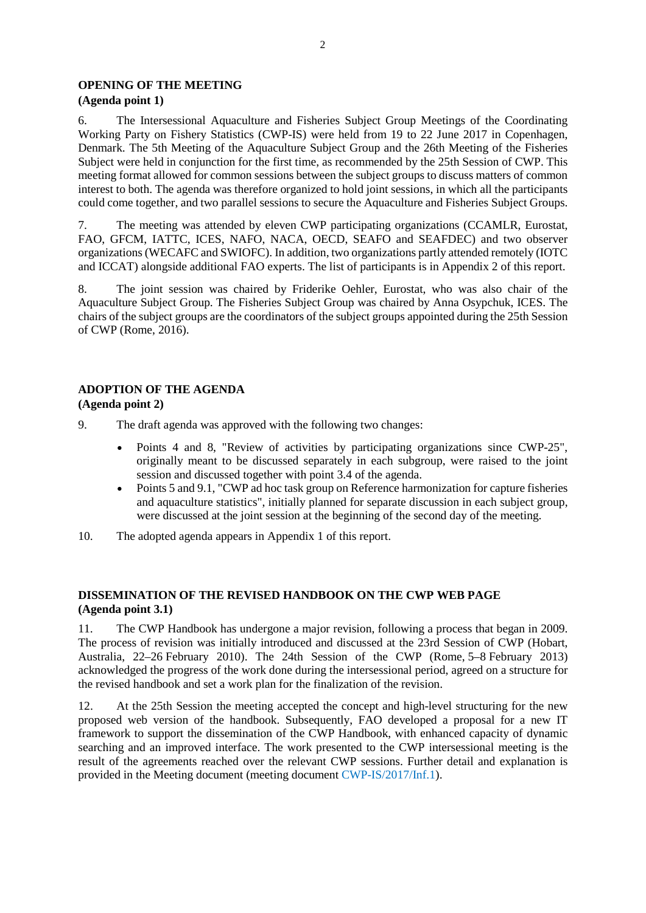### <span id="page-9-0"></span>**OPENING OF THE MEETING**

## **(Agenda point 1)**

6. The Intersessional Aquaculture and Fisheries Subject Group Meetings of the Coordinating Working Party on Fishery Statistics (CWP-IS) were held from 19 to 22 June 2017 in Copenhagen, Denmark. The 5th Meeting of the Aquaculture Subject Group and the 26th Meeting of the Fisheries Subject were held in conjunction for the first time, as recommended by the 25th Session of CWP. This meeting format allowed for common sessions between the subject groups to discuss matters of common interest to both. The agenda was therefore organized to hold joint sessions, in which all the participants could come together, and two parallel sessions to secure the Aquaculture and Fisheries Subject Groups.

7. The meeting was attended by eleven CWP participating organizations (CCAMLR, Eurostat, FAO, GFCM, IATTC, ICES, NAFO, NACA, OECD, SEAFO and SEAFDEC) and two observer organizations (WECAFC and SWIOFC). In addition, two organizations partly attended remotely (IOTC and ICCAT) alongside additional FAO experts. The list of participants is in Appendix 2 of this report.

8. The joint session was chaired by Friderike Oehler, Eurostat, who was also chair of the Aquaculture Subject Group. The Fisheries Subject Group was chaired by Anna Osypchuk, ICES. The chairs of the subject groups are the coordinators of the subject groups appointed during the 25th Session of CWP (Rome, 2016).

# <span id="page-9-1"></span>**ADOPTION OF THE AGENDA**

### **(Agenda point 2)**

- 9. The draft agenda was approved with the following two changes:
	- Points 4 and 8, "Review of activities by participating organizations since CWP-25", originally meant to be discussed separately in each subgroup, were raised to the joint session and discussed together with point 3.4 of the agenda.
	- Points 5 and 9.1, "CWP ad hoc task group on Reference harmonization for capture fisheries and aquaculture statistics", initially planned for separate discussion in each subject group, were discussed at the joint session at the beginning of the second day of the meeting.
- 10. The adopted agenda appears in Appendix 1 of this report.

## <span id="page-9-2"></span>**DISSEMINATION OF THE REVISED HANDBOOK ON THE CWP WEB PAGE (Agenda point 3.1)**

11. The CWP Handbook has undergone a major revision, following a process that began in 2009. The process of revision was initially introduced and discussed at the 23rd Session of CWP (Hobart, Australia, 22–26 February 2010). The 24th Session of the CWP (Rome, 5–8 February 2013) acknowledged the progress of the work done during the intersessional period, agreed on a structure for the revised handbook and set a work plan for the finalization of the revision.

12. At the 25th Session the meeting accepted the concept and high-level structuring for the new proposed web version of the handbook. Subsequently, FAO developed a proposal for a new IT framework to support the dissemination of the CWP Handbook, with enhanced capacity of dynamic searching and an improved interface. The work presented to the CWP intersessional meeting is the result of the agreements reached over the relevant CWP sessions. Further detail and explanation is provided in the Meeting document (meeting document [CWP-IS/2017/Inf.1\)](http://www.fao.org/fi/static-media/MeetingDocuments/cwp/cwp_IS_2017/inf1e.pdf).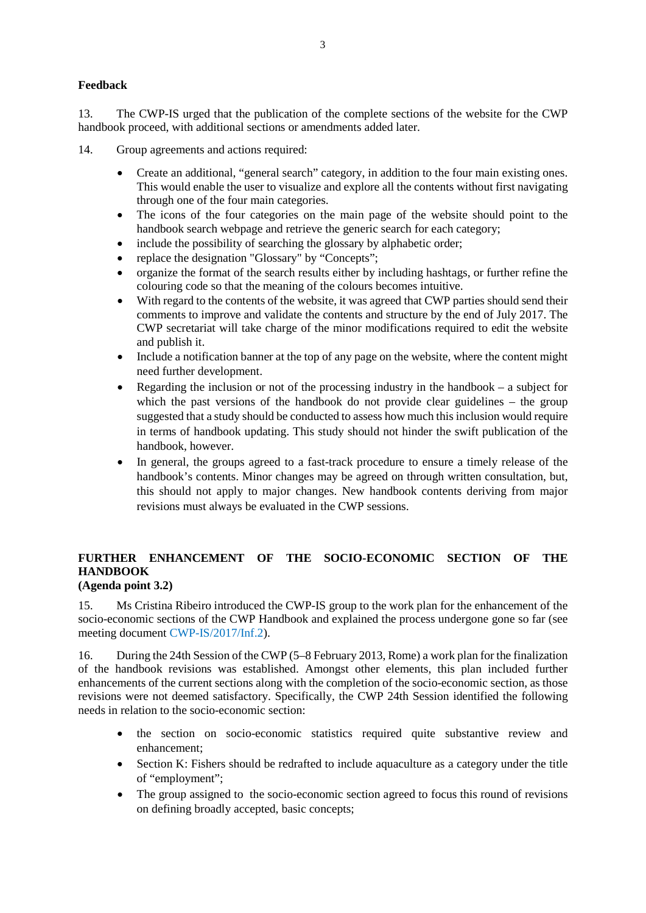### **Feedback**

13. The CWP-IS urged that the publication of the complete sections of the website for the CWP handbook proceed, with additional sections or amendments added later.

- 14. Group agreements and actions required:
	- Create an additional, "general search" category, in addition to the four main existing ones. This would enable the user to visualize and explore all the contents without first navigating through one of the four main categories.
	- The icons of the four categories on the main page of the website should point to the handbook search webpage and retrieve the generic search for each category;
	- include the possibility of searching the glossary by alphabetic order;
	- replace the designation "Glossary" by "Concepts";
	- organize the format of the search results either by including hashtags, or further refine the colouring code so that the meaning of the colours becomes intuitive.
	- With regard to the contents of the website, it was agreed that CWP parties should send their comments to improve and validate the contents and structure by the end of July 2017. The CWP secretariat will take charge of the minor modifications required to edit the website and publish it.
	- Include a notification banner at the top of any page on the website, where the content might need further development.
	- Regarding the inclusion or not of the processing industry in the handbook a subject for which the past versions of the handbook do not provide clear guidelines – the group suggested that a study should be conducted to assess how much this inclusion would require in terms of handbook updating. This study should not hinder the swift publication of the handbook, however.
	- In general, the groups agreed to a fast-track procedure to ensure a timely release of the handbook's contents. Minor changes may be agreed on through written consultation, but, this should not apply to major changes. New handbook contents deriving from major revisions must always be evaluated in the CWP sessions.

### <span id="page-10-0"></span>**FURTHER ENHANCEMENT OF THE SOCIO-ECONOMIC SECTION OF THE HANDBOOK (Agenda point 3.2)**

15. Ms Cristina Ribeiro introduced the CWP-IS group to the work plan for the enhancement of the socio-economic sections of the CWP Handbook and explained the process undergone gone so far (see meeting document [CWP-IS/2017/Inf.2\)](http://www.fao.org/fi/static-media/MeetingDocuments/cwp/cwp_IS_2017/inf2e.pdf).

16. During the 24th Session of the CWP (5–8 February 2013, Rome) a work plan for the finalization of the handbook revisions was established. Amongst other elements, this plan included further enhancements of the current sections along with the completion of the socio-economic section, as those revisions were not deemed satisfactory. Specifically, the CWP 24th Session identified the following needs in relation to the socio-economic section:

- the section on socio-economic statistics required quite substantive review and enhancement;
- Section K: Fishers should be redrafted to include aquaculture as a category under the title of "employment";
- The group assigned to the socio-economic section agreed to focus this round of revisions on defining broadly accepted, basic concepts;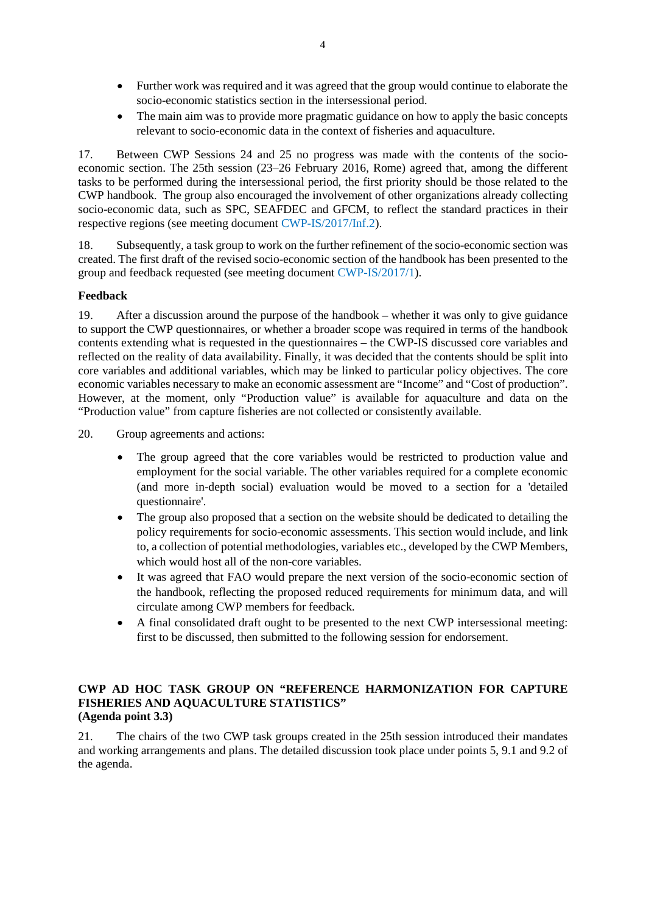- Further work was required and it was agreed that the group would continue to elaborate the socio-economic statistics section in the intersessional period.
- The main aim was to provide more pragmatic guidance on how to apply the basic concepts relevant to socio-economic data in the context of fisheries and aquaculture.

17. Between CWP Sessions 24 and 25 no progress was made with the contents of the socioeconomic section. The 25th session (23–26 February 2016, Rome) agreed that, among the different tasks to be performed during the intersessional period, the first priority should be those related to the CWP handbook. The group also encouraged the involvement of other organizations already collecting socio-economic data, such as SPC, SEAFDEC and GFCM, to reflect the standard practices in their respective regions (see meeting document [CWP-IS/2017/Inf.2\)](http://www.fao.org/fi/static-media/MeetingDocuments/cwp/cwp_IS_2017/inf2e.pdf).

18. Subsequently, a task group to work on the further refinement of the socio-economic section was created. The first draft of the revised socio-economic section of the handbook has been presented to the group and feedback requested (see meeting document [CWP-IS/2017/1\)](http://www.fao.org/fi/static-media/MeetingDocuments/cwp/cwp_IS_2017/1e.docx).

### **Feedback**

19. After a discussion around the purpose of the handbook – whether it was only to give guidance to support the CWP questionnaires, or whether a broader scope was required in terms of the handbook contents extending what is requested in the questionnaires – the CWP-IS discussed core variables and reflected on the reality of data availability. Finally, it was decided that the contents should be split into core variables and additional variables, which may be linked to particular policy objectives. The core economic variables necessary to make an economic assessment are "Income" and "Cost of production". However, at the moment, only "Production value" is available for aquaculture and data on the "Production value" from capture fisheries are not collected or consistently available.

20. Group agreements and actions:

- The group agreed that the core variables would be restricted to production value and employment for the social variable. The other variables required for a complete economic (and more in-depth social) evaluation would be moved to a section for a 'detailed questionnaire'.
- The group also proposed that a section on the website should be dedicated to detailing the policy requirements for socio-economic assessments. This section would include, and link to, a collection of potential methodologies, variables etc., developed by the CWP Members, which would host all of the non-core variables.
- It was agreed that FAO would prepare the next version of the socio-economic section of the handbook, reflecting the proposed reduced requirements for minimum data, and will circulate among CWP members for feedback.
- A final consolidated draft ought to be presented to the next CWP intersessional meeting: first to be discussed, then submitted to the following session for endorsement.

### <span id="page-11-0"></span>**CWP AD HOC TASK GROUP ON "REFERENCE HARMONIZATION FOR CAPTURE FISHERIES AND AQUACULTURE STATISTICS" (Agenda point 3.3)**

<span id="page-11-1"></span>21. The chairs of the two CWP task groups created in the 25th session introduced their mandates and working arrangements and plans. The detailed discussion took place under points 5, 9.1 and 9.2 of the agenda.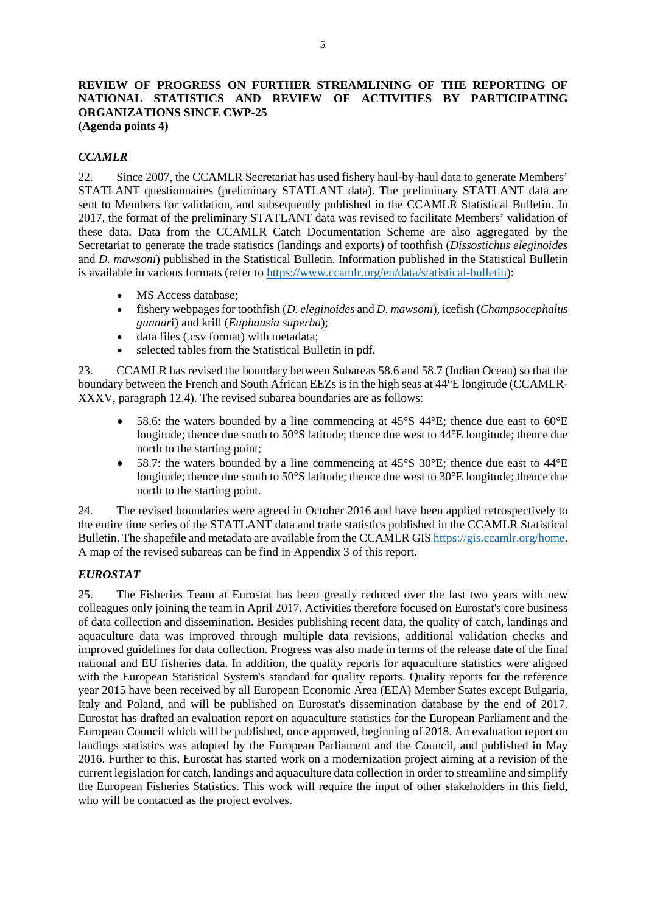### **REVIEW OF PROGRESS ON FURTHER STREAMLINING OF THE REPORTING OF NATIONAL STATISTICS AND REVIEW OF ACTIVITIES BY PARTICIPATING ORGANIZATIONS SINCE CWP-25 (Agenda points 4)**

### *CCAMLR*

22. Since 2007, the CCAMLR Secretariat has used fishery haul-by-haul data to generate Members' STATLANT questionnaires (preliminary STATLANT data). The preliminary STATLANT data are sent to Members for validation, and subsequently published in the CCAMLR Statistical Bulletin. In 2017, the format of the preliminary STATLANT data was revised to facilitate Members' validation of these data. Data from the CCAMLR Catch Documentation Scheme are also aggregated by the Secretariat to generate the trade statistics (landings and exports) of toothfish (*Dissostichus eleginoides* and *D. mawsoni*) published in the Statistical Bulletin. Information published in the Statistical Bulletin is available in various formats (refer to [https://www.ccamlr.org/en/data/statistical-bulletin\)](https://www.ccamlr.org/en/data/statistical-bulletin):

- MS Access database:
- fishery webpages for toothfish (*D. eleginoides* and *D. mawsoni*), icefish (*Champsocephalus gunnar*i) and krill (*Euphausia superba*);
- data files (.csv format) with metadata;
- selected tables from the Statistical Bulletin in pdf.

23. CCAMLR has revised the boundary between Subareas 58.6 and 58.7 (Indian Ocean) so that the boundary between the French and South African EEZs is in the high seas at 44°E longitude (CCAMLR-XXXV, paragraph 12.4). The revised subarea boundaries are as follows:

- 58.6: the waters bounded by a line commencing at 45°S 44°E; thence due east to 60°E longitude; thence due south to 50°S latitude; thence due west to 44°E longitude; thence due north to the starting point;
- 58.7; the waters bounded by a line commencing at  $45^{\circ}S$  30°E; thence due east to  $44^{\circ}E$ longitude; thence due south to 50°S latitude; thence due west to 30°E longitude; thence due north to the starting point.

24. The revised boundaries were agreed in October 2016 and have been applied retrospectively to the entire time series of the STATLANT data and trade statistics published in the CCAMLR Statistical Bulletin. The shapefile and metadata are available from the CCAMLR GI[S https://gis.ccamlr.org/home.](https://gis.ccamlr.org/home) A map of the revised subareas can be find in Appendix 3 of this report.

### *EUROSTAT*

25. The Fisheries Team at Eurostat has been greatly reduced over the last two years with new colleagues only joining the team in April 2017. Activities therefore focused on Eurostat's core business of data collection and dissemination. Besides publishing recent data, the quality of catch, landings and aquaculture data was improved through multiple data revisions, additional validation checks and improved guidelines for data collection. Progress was also made in terms of the release date of the final national and EU fisheries data. In addition, the quality reports for aquaculture statistics were aligned with the European Statistical System's standard for quality reports. Quality reports for the reference year 2015 have been received by all European Economic Area (EEA) Member States except Bulgaria, Italy and Poland, and will be published on Eurostat's dissemination database by the end of 2017. Eurostat has drafted an evaluation report on aquaculture statistics for the European Parliament and the European Council which will be published, once approved, beginning of 2018. An evaluation report on landings statistics was adopted by the European Parliament and the Council, and published in May 2016. Further to this, Eurostat has started work on a modernization project aiming at a revision of the current legislation for catch, landings and aquaculture data collection in order to streamline and simplify the European Fisheries Statistics. This work will require the input of other stakeholders in this field, who will be contacted as the project evolves.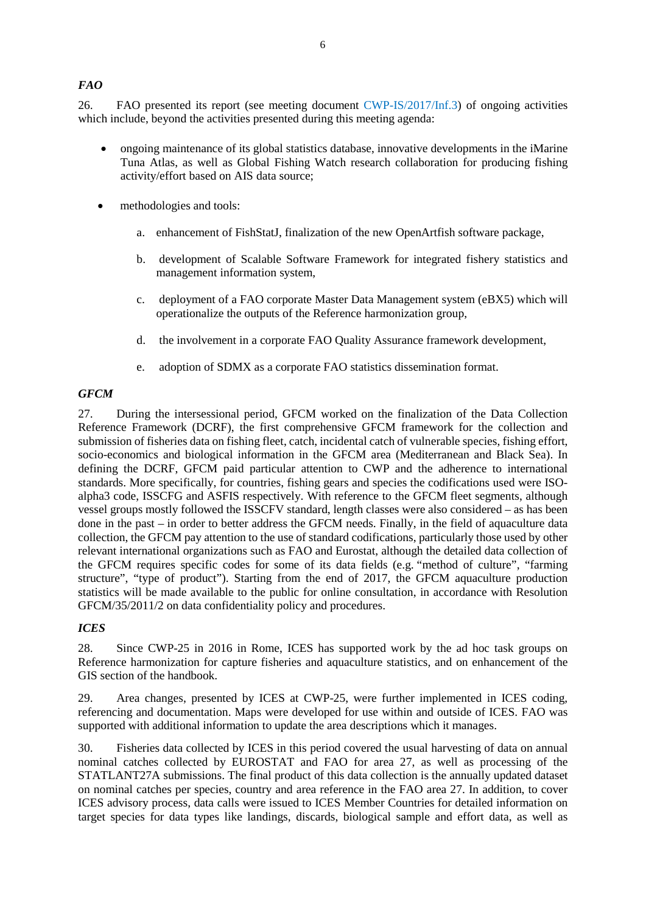## *FAO*

26. FAO presented its report (see meeting document [CWP-IS/2017/Inf.3\)](http://www.fao.org/fi/static-media/MeetingDocuments/cwp/cwp_IS_2017/inf3e.pdf) of ongoing activities which include, beyond the activities presented during this meeting agenda:

- ongoing maintenance of its global statistics database, innovative developments in the iMarine Tuna Atlas, as well as Global Fishing Watch research collaboration for producing fishing activity/effort based on AIS data source;
- methodologies and tools:
	- a. enhancement of FishStatJ, finalization of the new OpenArtfish software package,
	- b. development of Scalable Software Framework for integrated fishery statistics and management information system,
	- c. deployment of a FAO corporate Master Data Management system (eBX5) which will operationalize the outputs of the Reference harmonization group,
	- d. the involvement in a corporate FAO Quality Assurance framework development,
	- e. adoption of SDMX as a corporate FAO statistics dissemination format.

### *GFCM*

27. During the intersessional period, GFCM worked on the finalization of the Data Collection Reference Framework (DCRF), the first comprehensive GFCM framework for the collection and submission of fisheries data on fishing fleet, catch, incidental catch of vulnerable species, fishing effort, socio-economics and biological information in the GFCM area (Mediterranean and Black Sea). In defining the DCRF, GFCM paid particular attention to CWP and the adherence to international standards. More specifically, for countries, fishing gears and species the codifications used were ISOalpha3 code, ISSCFG and ASFIS respectively. With reference to the GFCM fleet segments, although vessel groups mostly followed the ISSCFV standard, length classes were also considered – as has been done in the past – in order to better address the GFCM needs. Finally, in the field of aquaculture data collection, the GFCM pay attention to the use of standard codifications, particularly those used by other relevant international organizations such as FAO and Eurostat, although the detailed data collection of the GFCM requires specific codes for some of its data fields (e.g. "method of culture", "farming structure", "type of product"). Starting from the end of 2017, the GFCM aquaculture production statistics will be made available to the public for online consultation, in accordance with Resolution GFCM/35/2011/2 on data confidentiality policy and procedures.

### *ICES*

28. Since CWP-25 in 2016 in Rome, ICES has supported work by the ad hoc task groups on Reference harmonization for capture fisheries and aquaculture statistics, and on enhancement of the GIS section of the handbook.

29. Area changes, presented by ICES at CWP-25, were further implemented in ICES coding, referencing and documentation. Maps were developed for use within and outside of ICES. FAO was supported with additional information to update the area descriptions which it manages.

30. Fisheries data collected by ICES in this period covered the usual harvesting of data on annual nominal catches collected by EUROSTAT and FAO for area 27, as well as processing of the STATLANT27A submissions. The final product of this data collection is the annually updated dataset on nominal catches per species, country and area reference in the FAO area 27. In addition, to cover ICES advisory process, data calls were issued to ICES Member Countries for detailed information on target species for data types like landings, discards, biological sample and effort data, as well as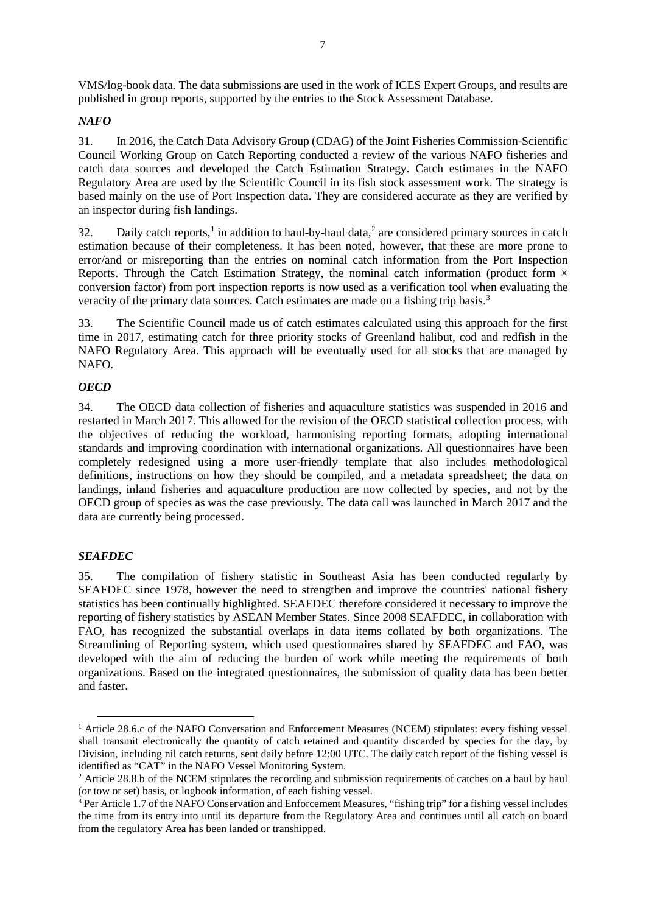VMS/log-book data. The data submissions are used in the work of ICES Expert Groups, and results are published in group reports, supported by the entries to the Stock Assessment Database.

## *NAFO*

31. In 2016, the Catch Data Advisory Group (CDAG) of the Joint Fisheries Commission-Scientific Council Working Group on Catch Reporting conducted a review of the various NAFO fisheries and catch data sources and developed the Catch Estimation Strategy. Catch estimates in the NAFO Regulatory Area are used by the Scientific Council in its fish stock assessment work. The strategy is based mainly on the use of Port Inspection data. They are considered accurate as they are verified by an inspector during fish landings.

32. Daily catch reports, [1](#page-14-0) in addition to haul-by-haul data, [2](#page-14-1) are considered primary sources in catch estimation because of their completeness. It has been noted, however, that these are more prone to error/and or misreporting than the entries on nominal catch information from the Port Inspection Reports. Through the Catch Estimation Strategy, the nominal catch information (product form  $\times$ conversion factor) from port inspection reports is now used as a verification tool when evaluating the veracity of the primary data sources. Catch estimates are made on a fishing trip basis.[3](#page-14-2)

33. The Scientific Council made us of catch estimates calculated using this approach for the first time in 2017, estimating catch for three priority stocks of Greenland halibut, cod and redfish in the NAFO Regulatory Area. This approach will be eventually used for all stocks that are managed by NAFO.

# *OECD*

34. The OECD data collection of fisheries and aquaculture statistics was suspended in 2016 and restarted in March 2017. This allowed for the revision of the OECD statistical collection process, with the objectives of reducing the workload, harmonising reporting formats, adopting international standards and improving coordination with international organizations. All questionnaires have been completely redesigned using a more user-friendly template that also includes methodological definitions, instructions on how they should be compiled, and a metadata spreadsheet; the data on landings, inland fisheries and aquaculture production are now collected by species, and not by the OECD group of species as was the case previously. The data call was launched in March 2017 and the data are currently being processed.

## *SEAFDEC*

35. The compilation of fishery statistic in Southeast Asia has been conducted regularly by SEAFDEC since 1978, however the need to strengthen and improve the countries' national fishery statistics has been continually highlighted. SEAFDEC therefore considered it necessary to improve the reporting of fishery statistics by ASEAN Member States. Since 2008 SEAFDEC, in collaboration with FAO, has recognized the substantial overlaps in data items collated by both organizations. The Streamlining of Reporting system, which used questionnaires shared by SEAFDEC and FAO, was developed with the aim of reducing the burden of work while meeting the requirements of both organizations. Based on the integrated questionnaires, the submission of quality data has been better and faster.

<span id="page-14-0"></span><sup>&</sup>lt;sup>1</sup> Article 28.6.c of the NAFO Conversation and Enforcement Measures (NCEM) stipulates: every fishing vessel shall transmit electronically the quantity of catch retained and quantity discarded by species for the day, by Division, including nil catch returns, sent daily before 12:00 UTC. The daily catch report of the fishing vessel is identified as "CAT" in the NAFO Vessel Monitoring System.

<span id="page-14-1"></span><sup>&</sup>lt;sup>2</sup> Article 28.8.b of the NCEM stipulates the recording and submission requirements of catches on a haul by haul (or tow or set) basis, or logbook information, of each fishing vessel.

<span id="page-14-2"></span><sup>&</sup>lt;sup>3</sup> Per Article 1.7 of the NAFO Conservation and Enforcement Measures, "fishing trip" for a fishing vessel includes the time from its entry into until its departure from the Regulatory Area and continues until all catch on board from the regulatory Area has been landed or transhipped.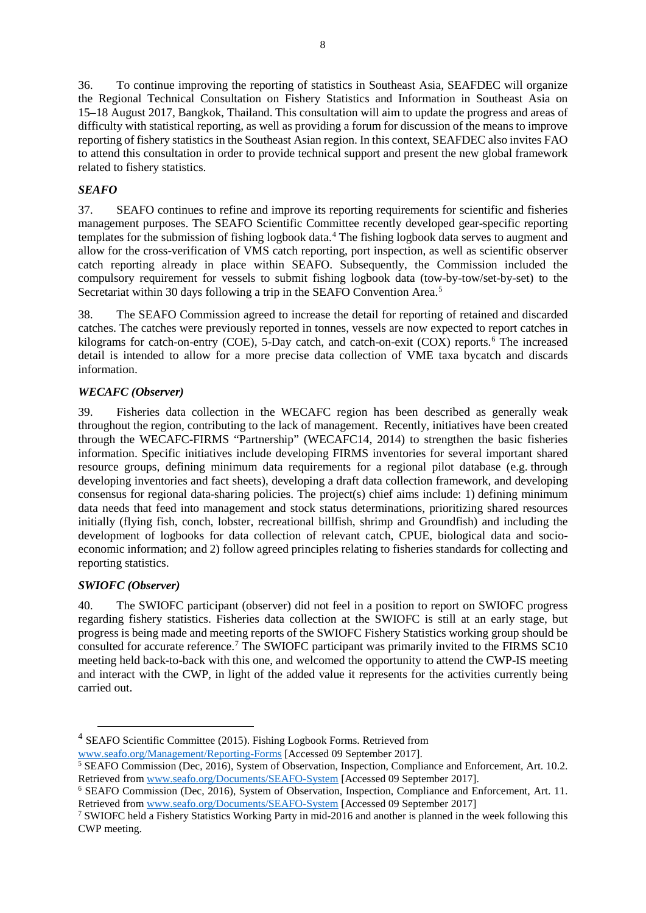36. To continue improving the reporting of statistics in Southeast Asia, SEAFDEC will organize the Regional Technical Consultation on Fishery Statistics and Information in Southeast Asia on 15–18 August 2017, Bangkok, Thailand. This consultation will aim to update the progress and areas of difficulty with statistical reporting, as well as providing a forum for discussion of the means to improve reporting of fishery statistics in the Southeast Asian region. In this context, SEAFDEC also invites FAO to attend this consultation in order to provide technical support and present the new global framework related to fishery statistics.

## *SEAFO*

37. SEAFO continues to refine and improve its reporting requirements for scientific and fisheries management purposes. The SEAFO Scientific Committee recently developed gear-specific reporting templates for the submission of fishing logbook data. [4](#page-15-0) The fishing logbook data serves to augment and allow for the cross-verification of VMS catch reporting, port inspection, as well as scientific observer catch reporting already in place within SEAFO. Subsequently, the Commission included the compulsory requirement for vessels to submit fishing logbook data (tow-by-tow/set-by-set) to the Secretariat within 30 days following a trip in the SEAFO Convention Area.<sup>[5](#page-15-1)</sup>

38. The SEAFO Commission agreed to increase the detail for reporting of retained and discarded catches. The catches were previously reported in tonnes, vessels are now expected to report catches in kilograms for catch-on-entry (COE), 5-Day catch, and catch-on-exit (COX) reports.<sup>[6](#page-15-2)</sup> The increased detail is intended to allow for a more precise data collection of VME taxa bycatch and discards information.

## *WECAFC (Observer)*

39. Fisheries data collection in the WECAFC region has been described as generally weak throughout the region, contributing to the lack of management. Recently, initiatives have been created through the WECAFC-FIRMS "Partnership" (WECAFC14, 2014) to strengthen the basic fisheries information. Specific initiatives include developing FIRMS inventories for several important shared resource groups, defining minimum data requirements for a regional pilot database (e.g. through developing inventories and fact sheets), developing a draft data collection framework, and developing consensus for regional data-sharing policies. The project(s) chief aims include: 1) defining minimum data needs that feed into management and stock status determinations, prioritizing shared resources initially (flying fish, conch, lobster, recreational billfish, shrimp and Groundfish) and including the development of logbooks for data collection of relevant catch, CPUE, biological data and socioeconomic information; and 2) follow agreed principles relating to fisheries standards for collecting and reporting statistics.

## *SWIOFC (Observer)*

40. The SWIOFC participant (observer) did not feel in a position to report on SWIOFC progress regarding fishery statistics. Fisheries data collection at the SWIOFC is still at an early stage, but progress is being made and meeting reports of the SWIOFC Fishery Statistics working group should be consulted for accurate reference.<sup>[7](#page-15-3)</sup> The SWIOFC participant was primarily invited to the FIRMS SC10 meeting held back-to-back with this one, and welcomed the opportunity to attend the CWP-IS meeting and interact with the CWP, in light of the added value it represents for the activities currently being carried out.

<span id="page-15-0"></span> <sup>4</sup> SEAFO Scientific Committee (2015). Fishing Logbook Forms. Retrieved from [www.seafo.org/Management/Reporting-Forms](http://www.seafo.org/Management/Reporting-Forms) [Accessed 09 September 2017].

<span id="page-15-1"></span><sup>&</sup>lt;sup>5</sup> SEAFO Commission (Dec, 2016), System of Observation, Inspection, Compliance and Enforcement, Art. 10.2. Retrieved from [www.seafo.org/Documents/SEAFO-System](http://www.seafo.org/Documents/SEAFO-System) [Accessed 09 September 2017].

<span id="page-15-2"></span><sup>6</sup> SEAFO Commission (Dec, 2016), System of Observation, Inspection, Compliance and Enforcement, Art. 11. Retrieved from [www.seafo.org/Documents/SEAFO-System](http://www.seafo.org/Documents/SEAFO-System) [Accessed 09 September 2017]

<span id="page-15-3"></span><sup>7</sup> SWIOFC held a Fishery Statistics Working Party in mid-2016 and another is planned in the week following this CWP meeting.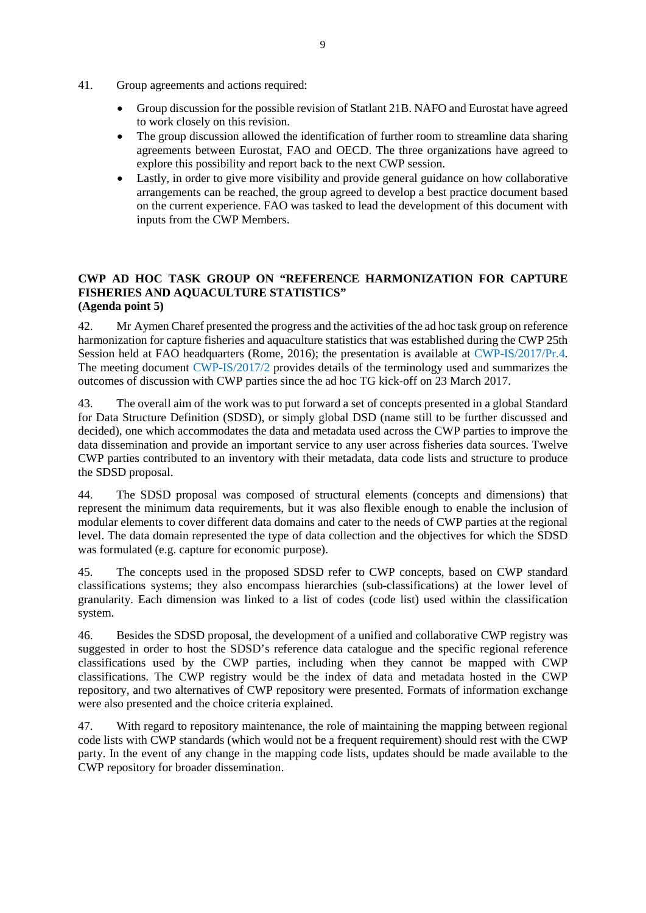- 41. Group agreements and actions required:
	- Group discussion for the possible revision of Statlant 21B. NAFO and Eurostat have agreed to work closely on this revision.
	- The group discussion allowed the identification of further room to streamline data sharing agreements between Eurostat, FAO and OECD. The three organizations have agreed to explore this possibility and report back to the next CWP session.
	- Lastly, in order to give more visibility and provide general guidance on how collaborative arrangements can be reached, the group agreed to develop a best practice document based on the current experience. FAO was tasked to lead the development of this document with inputs from the CWP Members.

### <span id="page-16-0"></span>**CWP AD HOC TASK GROUP ON "REFERENCE HARMONIZATION FOR CAPTURE FISHERIES AND AQUACULTURE STATISTICS" (Agenda point 5)**

42. Mr Aymen Charef presented the progress and the activities of the ad hoc task group on reference harmonization for capture fisheries and aquaculture statistics that was established during the CWP 25th Session held at FAO headquarters (Rome, 2016); the presentation is available at [CWP-IS/2017/Pr.4.](http://www.fao.org/fi/static-media/MeetingDocuments/cwp/cwp_IS_2017/Pr4e.pdf) The meeting document [CWP-IS/2017/2](http://www.fao.org/fi/static-media/MeetingDocuments/cwp/cwp_IS_2017/2e.pdf) provides details of the terminology used and summarizes the outcomes of discussion with CWP parties since the ad hoc TG kick-off on 23 March 2017.

43. The overall aim of the work was to put forward a set of concepts presented in a global Standard for Data Structure Definition (SDSD), or simply global DSD (name still to be further discussed and decided), one which accommodates the data and metadata used across the CWP parties to improve the data dissemination and provide an important service to any user across fisheries data sources. Twelve CWP parties contributed to an inventory with their metadata, data code lists and structure to produce the SDSD proposal.

44. The SDSD proposal was composed of structural elements (concepts and dimensions) that represent the minimum data requirements, but it was also flexible enough to enable the inclusion of modular elements to cover different data domains and cater to the needs of CWP parties at the regional level. The data domain represented the type of data collection and the objectives for which the SDSD was formulated (e.g. capture for economic purpose).

45. The concepts used in the proposed SDSD refer to CWP concepts, based on CWP standard classifications systems; they also encompass hierarchies (sub-classifications) at the lower level of granularity. Each dimension was linked to a list of codes (code list) used within the classification system.

46. Besides the SDSD proposal, the development of a unified and collaborative CWP registry was suggested in order to host the SDSD's reference data catalogue and the specific regional reference classifications used by the CWP parties, including when they cannot be mapped with CWP classifications. The CWP registry would be the index of data and metadata hosted in the CWP repository, and two alternatives of CWP repository were presented. Formats of information exchange were also presented and the choice criteria explained.

47. With regard to repository maintenance, the role of maintaining the mapping between regional code lists with CWP standards (which would not be a frequent requirement) should rest with the CWP party. In the event of any change in the mapping code lists, updates should be made available to the CWP repository for broader dissemination.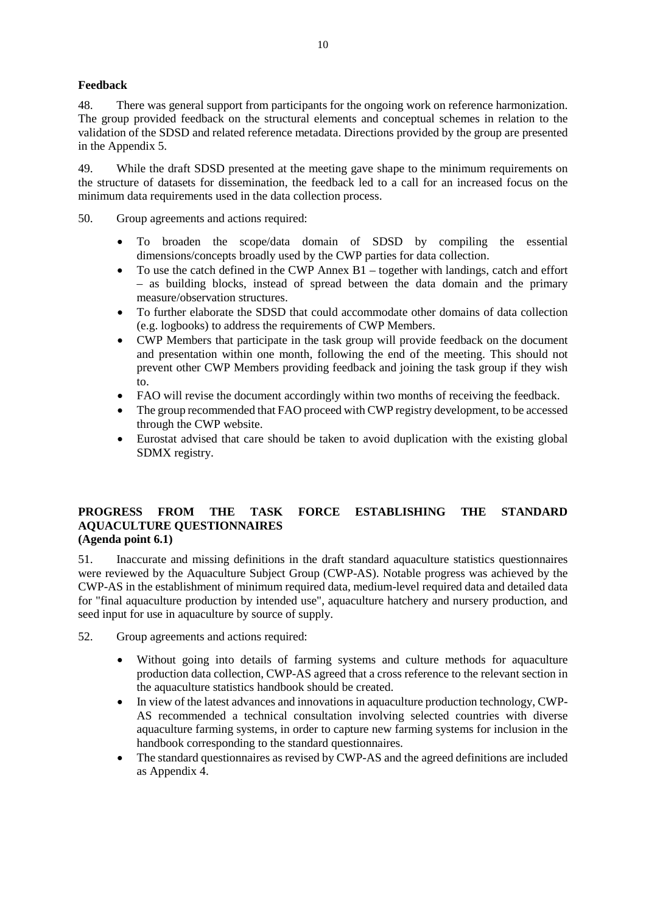# **Feedback**

48. There was general support from participants for the ongoing work on reference harmonization. The group provided feedback on the structural elements and conceptual schemes in relation to the validation of the SDSD and related reference metadata. Directions provided by the group are presented in the Appendix 5.

49. While the draft SDSD presented at the meeting gave shape to the minimum requirements on the structure of datasets for dissemination, the feedback led to a call for an increased focus on the minimum data requirements used in the data collection process.

50. Group agreements and actions required:

- To broaden the scope/data domain of SDSD by compiling the essential dimensions/concepts broadly used by the CWP parties for data collection.
- To use the catch defined in the CWP Annex B1 together with landings, catch and effort – as building blocks, instead of spread between the data domain and the primary measure/observation structures.
- To further elaborate the SDSD that could accommodate other domains of data collection (e.g. logbooks) to address the requirements of CWP Members.
- CWP Members that participate in the task group will provide feedback on the document and presentation within one month, following the end of the meeting. This should not prevent other CWP Members providing feedback and joining the task group if they wish to.
- FAO will revise the document accordingly within two months of receiving the feedback.
- The group recommended that FAO proceed with CWP registry development, to be accessed through the CWP website.
- Eurostat advised that care should be taken to avoid duplication with the existing global SDMX registry.

### <span id="page-17-0"></span>**PROGRESS FROM THE TASK FORCE ESTABLISHING THE STANDARD AQUACULTURE QUESTIONNAIRES (Agenda point 6.1)**

51. Inaccurate and missing definitions in the draft standard aquaculture statistics questionnaires were reviewed by the Aquaculture Subject Group (CWP-AS). Notable progress was achieved by the CWP-AS in the establishment of minimum required data, medium-level required data and detailed data for "final aquaculture production by intended use", aquaculture hatchery and nursery production, and seed input for use in aquaculture by source of supply.

- Without going into details of farming systems and culture methods for aquaculture production data collection, CWP-AS agreed that a cross reference to the relevant section in the aquaculture statistics handbook should be created.
- In view of the latest advances and innovations in aquaculture production technology, CWP-AS recommended a technical consultation involving selected countries with diverse aquaculture farming systems, in order to capture new farming systems for inclusion in the handbook corresponding to the standard questionnaires.
- <span id="page-17-1"></span>• The standard questionnaires as revised by CWP-AS and the agreed definitions are included as Appendix 4.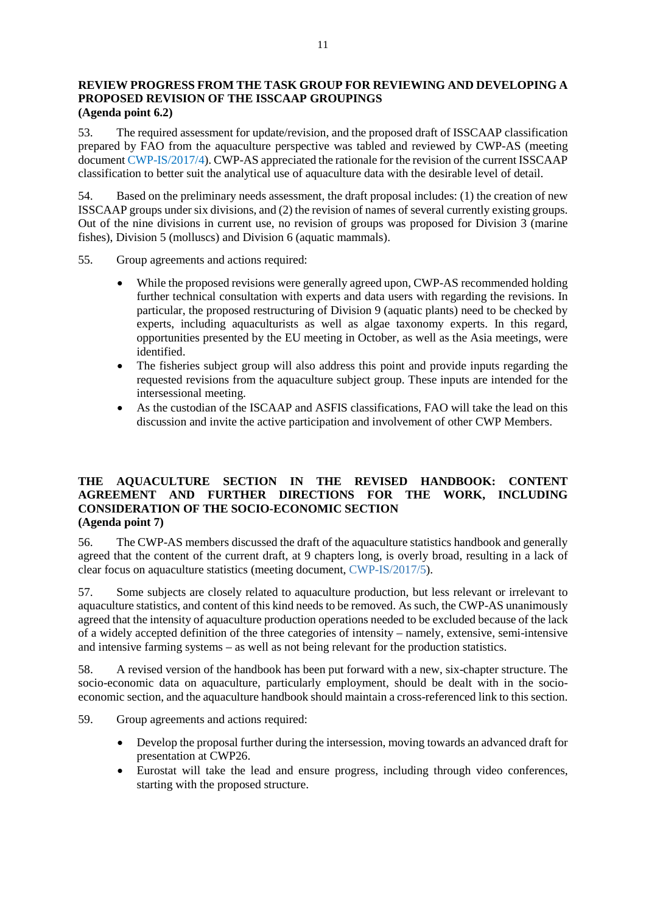### **REVIEW PROGRESS FROM THE TASK GROUP FOR REVIEWING AND DEVELOPING A PROPOSED REVISION OF THE ISSCAAP GROUPINGS (Agenda point 6.2)**

53. The required assessment for update/revision, and the proposed draft of ISSCAAP classification prepared by FAO from the aquaculture perspective was tabled and reviewed by CWP-AS (meeting documen[t CWP-IS/2017/4\)](http://www.fao.org/fi/static-media/MeetingDocuments/cwp/cwp_IS_2017/4e.pdf). CWP-AS appreciated the rationale for the revision of the current ISSCAAP classification to better suit the analytical use of aquaculture data with the desirable level of detail.

54. Based on the preliminary needs assessment, the draft proposal includes: (1) the creation of new ISSCAAP groups under six divisions, and (2) the revision of names of several currently existing groups. Out of the nine divisions in current use, no revision of groups was proposed for Division 3 (marine fishes), Division 5 (molluscs) and Division 6 (aquatic mammals).

- 55. Group agreements and actions required:
	- While the proposed revisions were generally agreed upon, CWP-AS recommended holding further technical consultation with experts and data users with regarding the revisions. In particular, the proposed restructuring of Division 9 (aquatic plants) need to be checked by experts, including aquaculturists as well as algae taxonomy experts. In this regard, opportunities presented by the EU meeting in October, as well as the Asia meetings, were identified.
	- The fisheries subject group will also address this point and provide inputs regarding the requested revisions from the aquaculture subject group. These inputs are intended for the intersessional meeting.
	- As the custodian of the ISCAAP and ASFIS classifications, FAO will take the lead on this discussion and invite the active participation and involvement of other CWP Members.

### <span id="page-18-0"></span>**THE AQUACULTURE SECTION IN THE REVISED HANDBOOK: CONTENT AGREEMENT AND FURTHER DIRECTIONS FOR THE WORK, INCLUDING CONSIDERATION OF THE SOCIO-ECONOMIC SECTION (Agenda point 7)**

56. The CWP-AS members discussed the draft of the aquaculture statistics handbook and generally agreed that the content of the current draft, at 9 chapters long, is overly broad, resulting in a lack of clear focus on aquaculture statistics (meeting document, [CWP-IS/2017/5\)](http://www.fao.org/fi/static-media/MeetingDocuments/cwp/cwp_IS_2017/5e.pdf).

57. Some subjects are closely related to aquaculture production, but less relevant or irrelevant to aquaculture statistics, and content of this kind needs to be removed. As such, the CWP-AS unanimously agreed that the intensity of aquaculture production operations needed to be excluded because of the lack of a widely accepted definition of the three categories of intensity – namely, extensive, semi-intensive and intensive farming systems – as well as not being relevant for the production statistics.

58. A revised version of the handbook has been put forward with a new, six-chapter structure. The socio-economic data on aquaculture, particularly employment, should be dealt with in the socioeconomic section, and the aquaculture handbook should maintain a cross-referenced link to this section.

- Develop the proposal further during the intersession, moving towards an advanced draft for presentation at CWP26.
- <span id="page-18-1"></span>• Eurostat will take the lead and ensure progress, including through video conferences, starting with the proposed structure.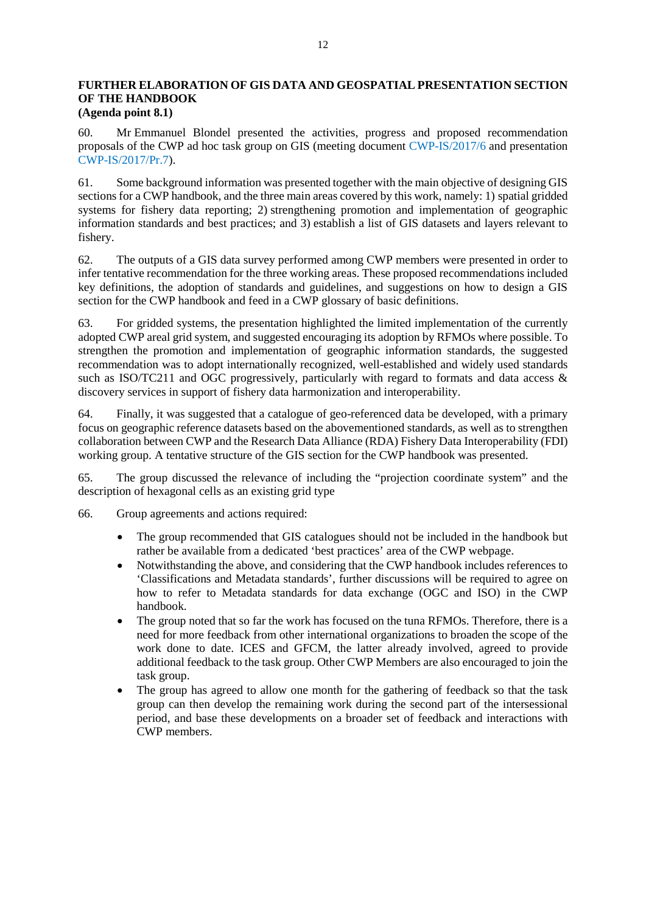### **FURTHER ELABORATION OF GIS DATA AND GEOSPATIAL PRESENTATION SECTION OF THE HANDBOOK (Agenda point 8.1)**

60. Mr Emmanuel Blondel presented the activities, progress and proposed recommendation proposals of the CWP ad hoc task group on GIS (meeting document [CWP-IS/2017/6](http://www.fao.org/fi/static-media/MeetingDocuments/cwp/cwp_IS_2017/6e.pdf) and presentation [CWP-IS/2017/Pr.7\)](http://www.fao.org/fi/static-media/MeetingDocuments/cwp/cwp_IS_2017/Pr7e.pdf).

61. Some background information was presented together with the main objective of designing GIS sections for a CWP handbook, and the three main areas covered by this work, namely: 1) spatial gridded systems for fishery data reporting; 2) strengthening promotion and implementation of geographic information standards and best practices; and 3) establish a list of GIS datasets and layers relevant to fishery.

62. The outputs of a GIS data survey performed among CWP members were presented in order to infer tentative recommendation for the three working areas. These proposed recommendations included key definitions, the adoption of standards and guidelines, and suggestions on how to design a GIS section for the CWP handbook and feed in a CWP glossary of basic definitions.

63. For gridded systems, the presentation highlighted the limited implementation of the currently adopted CWP areal grid system, and suggested encouraging its adoption by RFMOs where possible. To strengthen the promotion and implementation of geographic information standards, the suggested recommendation was to adopt internationally recognized, well-established and widely used standards such as ISO/TC211 and OGC progressively, particularly with regard to formats and data access  $\&$ discovery services in support of fishery data harmonization and interoperability.

64. Finally, it was suggested that a catalogue of geo-referenced data be developed, with a primary focus on geographic reference datasets based on the abovementioned standards, as well as to strengthen collaboration between CWP and the Research Data Alliance (RDA) Fishery Data Interoperability (FDI) working group. A tentative structure of the GIS section for the CWP handbook was presented.

65. The group discussed the relevance of including the "projection coordinate system" and the description of hexagonal cells as an existing grid type

- The group recommended that GIS catalogues should not be included in the handbook but rather be available from a dedicated 'best practices' area of the CWP webpage.
- Notwithstanding the above, and considering that the CWP handbook includes references to 'Classifications and Metadata standards', further discussions will be required to agree on how to refer to Metadata standards for data exchange (OGC and ISO) in the CWP handbook.
- The group noted that so far the work has focused on the tuna RFMOs. Therefore, there is a need for more feedback from other international organizations to broaden the scope of the work done to date. ICES and GFCM, the latter already involved, agreed to provide additional feedback to the task group. Other CWP Members are also encouraged to join the task group.
- <span id="page-19-0"></span>The group has agreed to allow one month for the gathering of feedback so that the task group can then develop the remaining work during the second part of the intersessional period, and base these developments on a broader set of feedback and interactions with CWP members.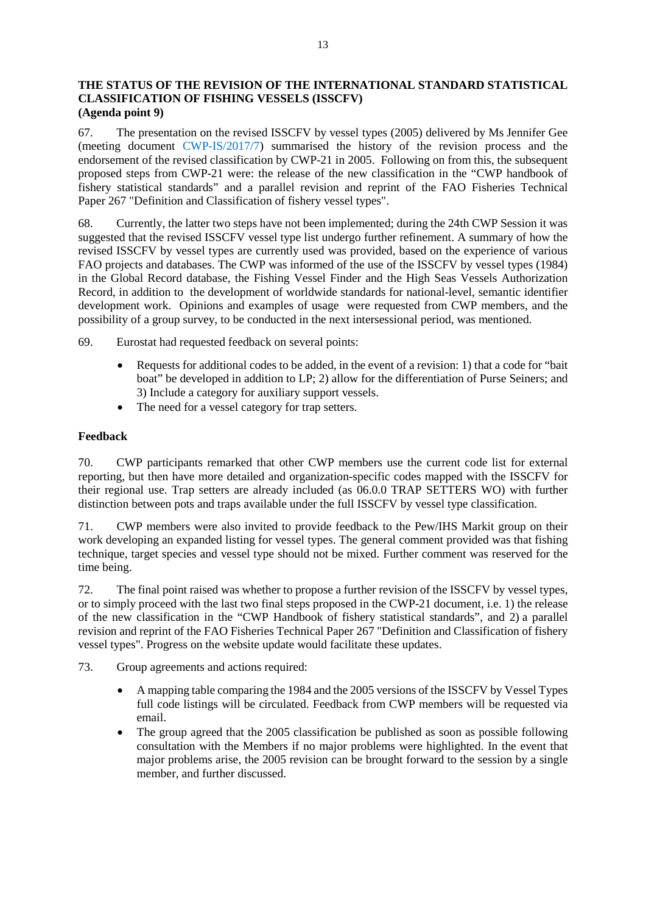### **THE STATUS OF THE REVISION OF THE INTERNATIONAL STANDARD STATISTICAL CLASSIFICATION OF FISHING VESSELS (ISSCFV) (Agenda point 9)**

67. The presentation on the revised ISSCFV by vessel types (2005) delivered by Ms Jennifer Gee (meeting document [CWP-IS/2017/7\)](http://www.fao.org/fi/static-media/MeetingDocuments/cwp/cwp_IS_2017/7e.pdf) summarised the history of the revision process and the endorsement of the revised classification by CWP-21 in 2005. Following on from this, the subsequent proposed steps from CWP-21 were: the release of the new classification in the "CWP handbook of fishery statistical standards" and a parallel revision and reprint of the FAO Fisheries Technical Paper 267 "Definition and Classification of fishery vessel types".

68. Currently, the latter two steps have not been implemented; during the 24th CWP Session it was suggested that the revised ISSCFV vessel type list undergo further refinement. A summary of how the revised ISSCFV by vessel types are currently used was provided, based on the experience of various FAO projects and databases. The CWP was informed of the use of the ISSCFV by vessel types (1984) in the Global Record database, the Fishing Vessel Finder and the High Seas Vessels Authorization Record, in addition to the development of worldwide standards for national-level, semantic identifier development work. Opinions and examples of usage were requested from CWP members, and the possibility of a group survey, to be conducted in the next intersessional period, was mentioned.

69. Eurostat had requested feedback on several points:

- Requests for additional codes to be added, in the event of a revision: 1) that a code for "bait" boat" be developed in addition to LP; 2) allow for the differentiation of Purse Seiners; and 3) Include a category for auxiliary support vessels.
- The need for a vessel category for trap setters.

### **Feedback**

70. CWP participants remarked that other CWP members use the current code list for external reporting, but then have more detailed and organization-specific codes mapped with the ISSCFV for their regional use. Trap setters are already included (as 06.0.0 TRAP SETTERS WO) with further distinction between pots and traps available under the full ISSCFV by vessel type classification.

71. CWP members were also invited to provide feedback to the Pew/IHS Markit group on their work developing an expanded listing for vessel types. The general comment provided was that fishing technique, target species and vessel type should not be mixed. Further comment was reserved for the time being.

72. The final point raised was whether to propose a further revision of the ISSCFV by vessel types, or to simply proceed with the last two final steps proposed in the CWP-21 document, i.e. 1) the release of the new classification in the "CWP Handbook of fishery statistical standards", and 2) a parallel revision and reprint of the FAO Fisheries Technical Paper 267 "Definition and Classification of fishery vessel types". Progress on the website update would facilitate these updates.

- A mapping table comparing the 1984 and the 2005 versions of the ISSCFV by Vessel Types full code listings will be circulated. Feedback from CWP members will be requested via email.
- <span id="page-20-0"></span>• The group agreed that the 2005 classification be published as soon as possible following consultation with the Members if no major problems were highlighted. In the event that major problems arise, the 2005 revision can be brought forward to the session by a single member, and further discussed.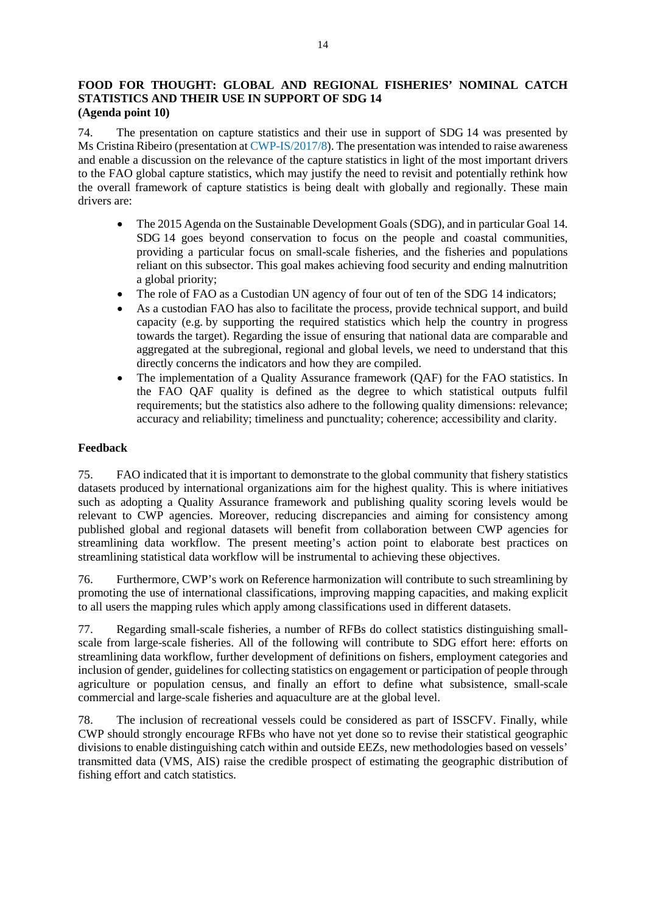### **FOOD FOR THOUGHT: GLOBAL AND REGIONAL FISHERIES' NOMINAL CATCH STATISTICS AND THEIR USE IN SUPPORT OF SDG 14 (Agenda point 10)**

74. The presentation on capture statistics and their use in support of SDG 14 was presented by Ms Cristina Ribeiro (presentation a[t CWP-IS/2017/8\)](http://www.fao.org/fi/static-media/MeetingDocuments/cwp/cwp_IS_2017/10e.pdf). The presentation was intended to raise awareness and enable a discussion on the relevance of the capture statistics in light of the most important drivers to the FAO global capture statistics, which may justify the need to revisit and potentially rethink how the overall framework of capture statistics is being dealt with globally and regionally. These main drivers are:

- The 2015 Agenda on the Sustainable Development Goals (SDG), and in particular Goal 14. SDG 14 goes beyond conservation to focus on the people and coastal communities, providing a particular focus on small-scale fisheries, and the fisheries and populations reliant on this subsector. This goal makes achieving food security and ending malnutrition a global priority;
- The role of FAO as a Custodian UN agency of four out of ten of the SDG 14 indicators;
- As a custodian FAO has also to facilitate the process, provide technical support, and build capacity (e.g. by supporting the required statistics which help the country in progress towards the target). Regarding the issue of ensuring that national data are comparable and aggregated at the subregional, regional and global levels, we need to understand that this directly concerns the indicators and how they are compiled.
- The implementation of a Quality Assurance framework (QAF) for the FAO statistics. In the FAO QAF quality is defined as the degree to which statistical outputs fulfil requirements; but the statistics also adhere to the following quality dimensions: relevance; accuracy and reliability; timeliness and punctuality; coherence; accessibility and clarity.

### **Feedback**

75. FAO indicated that it is important to demonstrate to the global community that fishery statistics datasets produced by international organizations aim for the highest quality. This is where initiatives such as adopting a Quality Assurance framework and publishing quality scoring levels would be relevant to CWP agencies. Moreover, reducing discrepancies and aiming for consistency among published global and regional datasets will benefit from collaboration between CWP agencies for streamlining data workflow. The present meeting's action point to elaborate best practices on streamlining statistical data workflow will be instrumental to achieving these objectives.

76. Furthermore, CWP's work on Reference harmonization will contribute to such streamlining by promoting the use of international classifications, improving mapping capacities, and making explicit to all users the mapping rules which apply among classifications used in different datasets.

77. Regarding small-scale fisheries, a number of RFBs do collect statistics distinguishing smallscale from large-scale fisheries. All of the following will contribute to SDG effort here: efforts on streamlining data workflow, further development of definitions on fishers, employment categories and inclusion of gender, guidelines for collecting statistics on engagement or participation of people through agriculture or population census, and finally an effort to define what subsistence, small-scale commercial and large-scale fisheries and aquaculture are at the global level.

78. The inclusion of recreational vessels could be considered as part of ISSCFV. Finally, while CWP should strongly encourage RFBs who have not yet done so to revise their statistical geographic divisions to enable distinguishing catch within and outside EEZs, new methodologies based on vessels' transmitted data (VMS, AIS) raise the credible prospect of estimating the geographic distribution of fishing effort and catch statistics.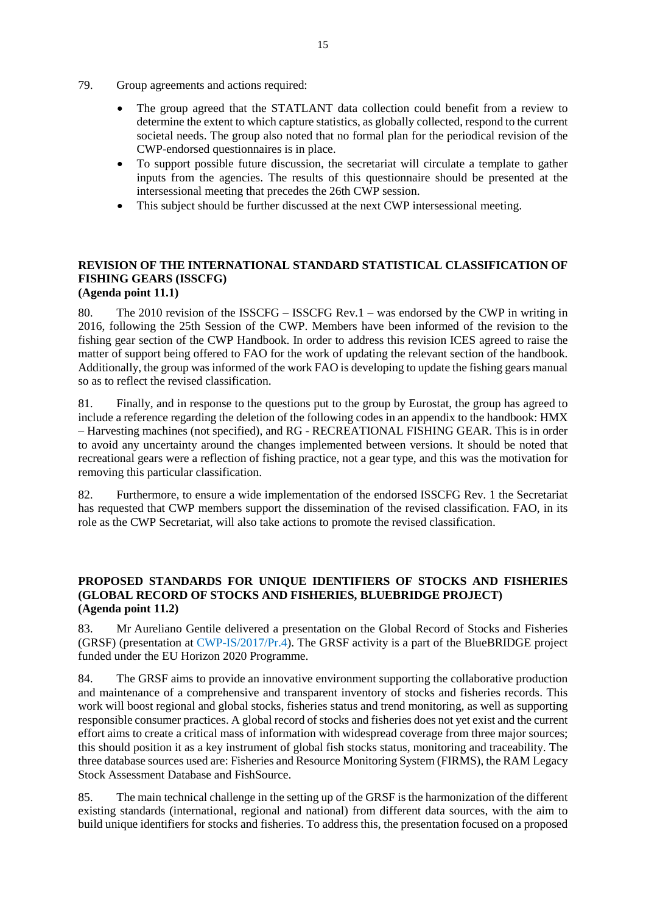- 79. Group agreements and actions required:
	- The group agreed that the STATLANT data collection could benefit from a review to determine the extent to which capture statistics, as globally collected, respond to the current societal needs. The group also noted that no formal plan for the periodical revision of the CWP-endorsed questionnaires is in place.
	- To support possible future discussion, the secretariat will circulate a template to gather inputs from the agencies. The results of this questionnaire should be presented at the intersessional meeting that precedes the 26th CWP session.
	- This subject should be further discussed at the next CWP intersessional meeting.

### <span id="page-22-0"></span>**REVISION OF THE INTERNATIONAL STANDARD STATISTICAL CLASSIFICATION OF FISHING GEARS (ISSCFG) (Agenda point 11.1)**

80. The 2010 revision of the ISSCFG – ISSCFG Rev.1 – was endorsed by the CWP in writing in 2016, following the 25th Session of the CWP. Members have been informed of the revision to the fishing gear section of the CWP Handbook. In order to address this revision ICES agreed to raise the matter of support being offered to FAO for the work of updating the relevant section of the handbook. Additionally, the group was informed of the work FAO is developing to update the fishing gears manual so as to reflect the revised classification.

81. Finally, and in response to the questions put to the group by Eurostat, the group has agreed to include a reference regarding the deletion of the following codes in an appendix to the handbook: HMX – Harvesting machines (not specified), and RG - RECREATIONAL FISHING GEAR. This is in order to avoid any uncertainty around the changes implemented between versions. It should be noted that recreational gears were a reflection of fishing practice, not a gear type, and this was the motivation for removing this particular classification.

82. Furthermore, to ensure a wide implementation of the endorsed ISSCFG Rev. 1 the Secretariat has requested that CWP members support the dissemination of the revised classification. FAO, in its role as the CWP Secretariat, will also take actions to promote the revised classification.

### <span id="page-22-1"></span>**PROPOSED STANDARDS FOR UNIQUE IDENTIFIERS OF STOCKS AND FISHERIES (GLOBAL RECORD OF STOCKS AND FISHERIES, BLUEBRIDGE PROJECT) (Agenda point 11.2)**

83. Mr Aureliano Gentile delivered a presentation on the Global Record of Stocks and Fisheries (GRSF) (presentation at [CWP-IS/2017/Pr.4\)](http://www.fao.org/fi/static-media/MeetingDocuments/cwp/cwp_IS_2017/Pr4e.pdf). The GRSF activity is a part of the BlueBRIDGE project funded under the EU Horizon 2020 Programme.

84. The GRSF aims to provide an innovative environment supporting the collaborative production and maintenance of a comprehensive and transparent inventory of stocks and fisheries records. This work will boost regional and global stocks, fisheries status and trend monitoring, as well as supporting responsible consumer practices. A global record of stocks and fisheries does not yet exist and the current effort aims to create a critical mass of information with widespread coverage from three major sources; this should position it as a key instrument of global fish stocks status, monitoring and traceability. The three database sources used are: Fisheries and Resource Monitoring System (FIRMS), the RAM Legacy Stock Assessment Database and FishSource.

85. The main technical challenge in the setting up of the GRSF is the harmonization of the different existing standards (international, regional and national) from different data sources, with the aim to build unique identifiers for stocks and fisheries. To address this, the presentation focused on a proposed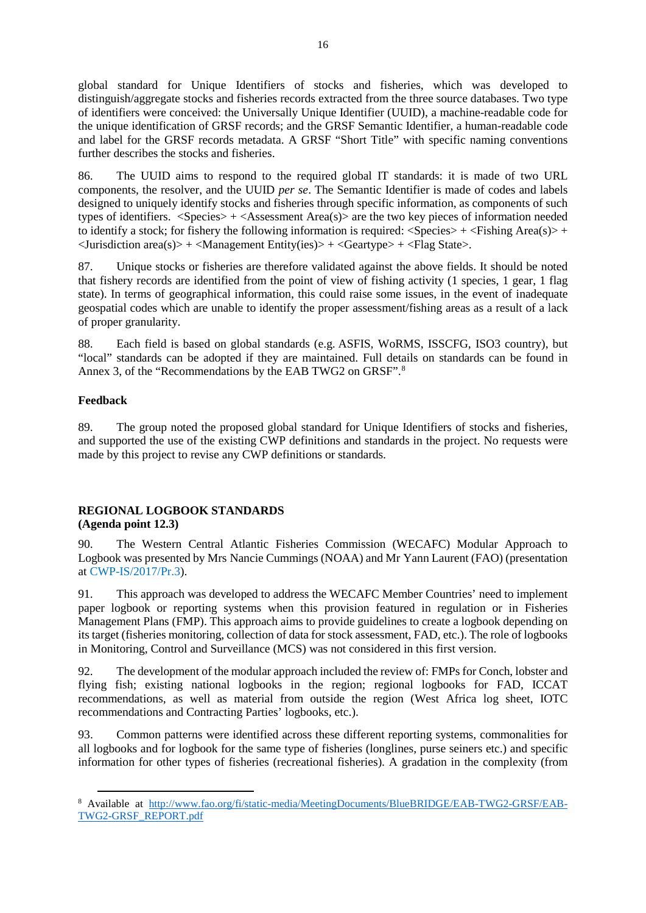global standard for Unique Identifiers of stocks and fisheries, which was developed to distinguish/aggregate stocks and fisheries records extracted from the three source databases. Two type of identifiers were conceived: the Universally Unique Identifier (UUID), a machine-readable code for the unique identification of GRSF records; and the GRSF Semantic Identifier, a human-readable code and label for the GRSF records metadata. A GRSF "Short Title" with specific naming conventions further describes the stocks and fisheries.

86. The UUID aims to respond to the required global IT standards: it is made of two URL components, the resolver, and the UUID *per se*. The Semantic Identifier is made of codes and labels designed to uniquely identify stocks and fisheries through specific information, as components of such types of identifiers. <Species> + <Assessment Area(s)> are the two key pieces of information needed to identify a stock; for fishery the following information is required:  $\langle$ Species> +  $\langle$ Fishing Area(s)> +  $\langle$ Jurisdiction area(s)> +  $\langle$ Management Entity(ies)> +  $\langle$ Geartype> +  $\langle$ Flag State>.

87. Unique stocks or fisheries are therefore validated against the above fields. It should be noted that fishery records are identified from the point of view of fishing activity (1 species, 1 gear, 1 flag state). In terms of geographical information, this could raise some issues, in the event of inadequate geospatial codes which are unable to identify the proper assessment/fishing areas as a result of a lack of proper granularity.

88. Each field is based on global standards (e.g. ASFIS, WoRMS, ISSCFG, ISO3 country), but "local" standards can be adopted if they are maintained. Full details on standards can be found in Annex 3, of the "Recommendations by the EAB TWG2 on GRSF".<sup>[8](#page-23-1)</sup>

## **Feedback**

89. The group noted the proposed global standard for Unique Identifiers of stocks and fisheries, and supported the use of the existing CWP definitions and standards in the project. No requests were made by this project to revise any CWP definitions or standards.

# <span id="page-23-0"></span>**REGIONAL LOGBOOK STANDARDS**

## **(Agenda point 12.3)**

90. The Western Central Atlantic Fisheries Commission (WECAFC) Modular Approach to Logbook was presented by Mrs Nancie Cummings (NOAA) and Mr Yann Laurent (FAO) (presentation at [CWP-IS/2017/Pr.3\)](http://www.fao.org/fi/static-media/MeetingDocuments/cwp/cwp_IS_2017/Pr3e.pdf).

91. This approach was developed to address the WECAFC Member Countries' need to implement paper logbook or reporting systems when this provision featured in regulation or in Fisheries Management Plans (FMP). This approach aims to provide guidelines to create a logbook depending on its target (fisheries monitoring, collection of data for stock assessment, FAD, etc.). The role of logbooks in Monitoring, Control and Surveillance (MCS) was not considered in this first version.

92. The development of the modular approach included the review of: FMPs for Conch, lobster and flying fish; existing national logbooks in the region; regional logbooks for FAD, ICCAT recommendations, as well as material from outside the region (West Africa log sheet, IOTC recommendations and Contracting Parties' logbooks, etc.).

93. Common patterns were identified across these different reporting systems, commonalities for all logbooks and for logbook for the same type of fisheries (longlines, purse seiners etc.) and specific information for other types of fisheries (recreational fisheries). A gradation in the complexity (from

<span id="page-23-1"></span> <sup>8</sup> Available at [http://www.fao.org/fi/static-media/MeetingDocuments/BlueBRIDGE/EAB-TWG2-GRSF/EAB-](http://www.fao.org/fi/static-media/MeetingDocuments/BlueBRIDGE/EAB-TWG2-GRSF/EAB-TWG2-GRSF_REPORT.pdf)[TWG2-GRSF\\_REPORT.pdf](http://www.fao.org/fi/static-media/MeetingDocuments/BlueBRIDGE/EAB-TWG2-GRSF/EAB-TWG2-GRSF_REPORT.pdf)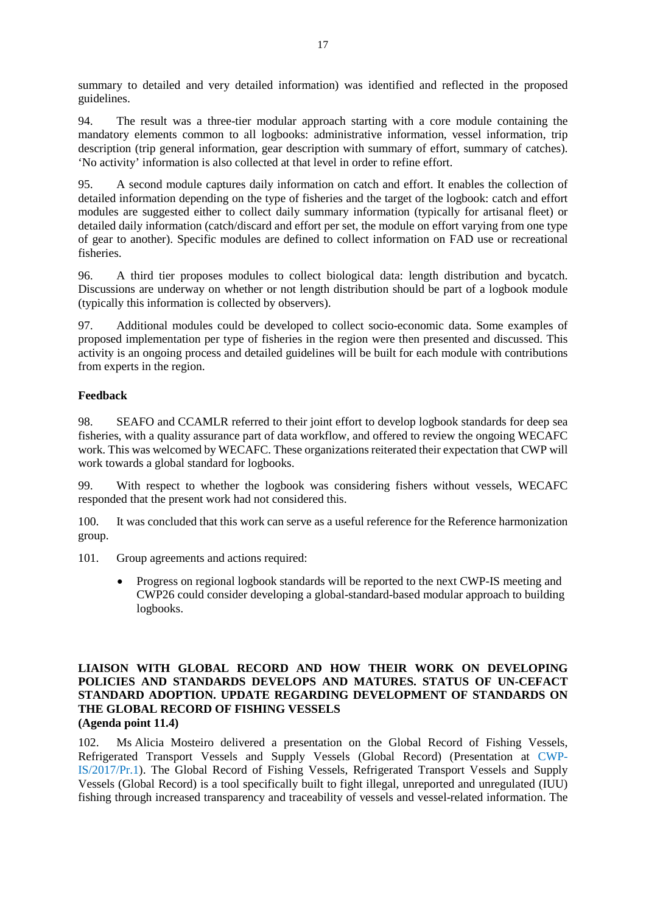summary to detailed and very detailed information) was identified and reflected in the proposed guidelines.

94. The result was a three-tier modular approach starting with a core module containing the mandatory elements common to all logbooks: administrative information, vessel information, trip description (trip general information, gear description with summary of effort, summary of catches). 'No activity' information is also collected at that level in order to refine effort.

95. A second module captures daily information on catch and effort. It enables the collection of detailed information depending on the type of fisheries and the target of the logbook: catch and effort modules are suggested either to collect daily summary information (typically for artisanal fleet) or detailed daily information (catch/discard and effort per set, the module on effort varying from one type of gear to another). Specific modules are defined to collect information on FAD use or recreational fisheries.

96. A third tier proposes modules to collect biological data: length distribution and bycatch. Discussions are underway on whether or not length distribution should be part of a logbook module (typically this information is collected by observers).

97. Additional modules could be developed to collect socio-economic data. Some examples of proposed implementation per type of fisheries in the region were then presented and discussed. This activity is an ongoing process and detailed guidelines will be built for each module with contributions from experts in the region.

### **Feedback**

98. SEAFO and CCAMLR referred to their joint effort to develop logbook standards for deep sea fisheries, with a quality assurance part of data workflow, and offered to review the ongoing WECAFC work. This was welcomed by WECAFC. These organizations reiterated their expectation that CWP will work towards a global standard for logbooks.

99. With respect to whether the logbook was considering fishers without vessels, WECAFC responded that the present work had not considered this.

100. It was concluded that this work can serve as a useful reference for the Reference harmonization group.

101. Group agreements and actions required:

• Progress on regional logbook standards will be reported to the next CWP-IS meeting and CWP26 could consider developing a global-standard-based modular approach to building logbooks.

### <span id="page-24-0"></span>**LIAISON WITH GLOBAL RECORD AND HOW THEIR WORK ON DEVELOPING POLICIES AND STANDARDS DEVELOPS AND MATURES. STATUS OF UN-CEFACT STANDARD ADOPTION. UPDATE REGARDING DEVELOPMENT OF STANDARDS ON THE GLOBAL RECORD OF FISHING VESSELS (Agenda point 11.4)**

102. Ms Alicia Mosteiro delivered a presentation on the Global Record of Fishing Vessels, Refrigerated Transport Vessels and Supply Vessels (Global Record) (Presentation at [CWP-](http://www.fao.org/fi/static-media/MeetingDocuments/cwp/cwp_IS_2017/Pr1e.pdf)[IS/2017/Pr.1\)](http://www.fao.org/fi/static-media/MeetingDocuments/cwp/cwp_IS_2017/Pr1e.pdf). The Global Record of Fishing Vessels, Refrigerated Transport Vessels and Supply Vessels (Global Record) is a tool specifically built to fight illegal, unreported and unregulated (IUU) fishing through increased transparency and traceability of vessels and vessel-related information. The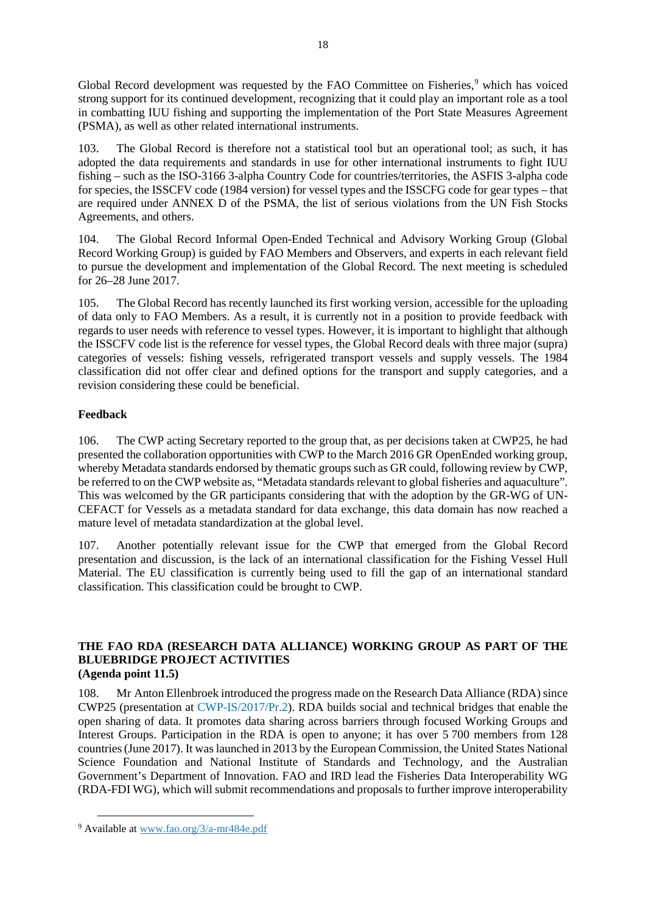Global Record development was requested by the FAO Committee on Fisheries,<sup>[9](#page-25-1)</sup> which has voiced strong support for its continued development, recognizing that it could play an important role as a tool in combatting IUU fishing and supporting the implementation of the Port State Measures Agreement (PSMA), as well as other related international instruments.

18

103. The Global Record is therefore not a statistical tool but an operational tool; as such, it has adopted the data requirements and standards in use for other international instruments to fight IUU fishing – such as the ISO-3166 3-alpha Country Code for countries/territories, the ASFIS 3-alpha code for species, the ISSCFV code (1984 version) for vessel types and the ISSCFG code for gear types – that are required under ANNEX D of the PSMA, the list of serious violations from the UN Fish Stocks Agreements, and others.

104. The Global Record Informal Open-Ended Technical and Advisory Working Group (Global Record Working Group) is guided by FAO Members and Observers, and experts in each relevant field to pursue the development and implementation of the Global Record. The next meeting is scheduled for 26–28 June 2017.

105. The Global Record has recently launched its first working version, accessible for the uploading of data only to FAO Members. As a result, it is currently not in a position to provide feedback with regards to user needs with reference to vessel types. However, it is important to highlight that although the ISSCFV code list is the reference for vessel types, the Global Record deals with three major (supra) categories of vessels: fishing vessels, refrigerated transport vessels and supply vessels. The 1984 classification did not offer clear and defined options for the transport and supply categories, and a revision considering these could be beneficial.

## **Feedback**

106. The CWP acting Secretary reported to the group that, as per decisions taken at CWP25, he had presented the collaboration opportunities with CWP to the March 2016 GR OpenEnded working group, whereby Metadata standards endorsed by thematic groups such as GR could, following review by CWP, be referred to on the CWP website as, "Metadata standards relevant to global fisheries and aquaculture". This was welcomed by the GR participants considering that with the adoption by the GR-WG of UN-CEFACT for Vessels as a metadata standard for data exchange, this data domain has now reached a mature level of metadata standardization at the global level.

107. Another potentially relevant issue for the CWP that emerged from the Global Record presentation and discussion, is the lack of an international classification for the Fishing Vessel Hull Material. The EU classification is currently being used to fill the gap of an international standard classification. This classification could be brought to CWP.

#### <span id="page-25-0"></span>**THE FAO RDA (RESEARCH DATA ALLIANCE) WORKING GROUP AS PART OF THE BLUEBRIDGE PROJECT ACTIVITIES (Agenda point 11.5)**

108. Mr Anton Ellenbroek introduced the progress made on the Research Data Alliance (RDA) since CWP25 (presentation at [CWP-IS/2017/Pr.2\)](http://www.fao.org/fi/static-media/MeetingDocuments/cwp/cwp_IS_2017/Pr2e.pdf). RDA builds social and technical bridges that enable the open sharing of data. It promotes data sharing across barriers through focused [Working Groups and](https://www.rd-alliance.org/groups)  [Interest](https://www.rd-alliance.org/groups) [Groups.](https://www.rd-alliance.org/groups) Participation in the RDA is open to anyone; it has over 5 700 [members](https://www.rd-alliance.org/about-rda/who-rda.html) from 128 countries (June 2017). It was launched in 2013 by the European Commission, the United States National Science Foundation and National Institute of Standards and Technology, and the Australian Government's Department of Innovation. FAO and IRD lead the Fisheries Data Interoperability WG (RDA-FDI WG), which will submit recommendations and proposals to further improve interoperability

<span id="page-25-1"></span> <sup>9</sup> Available at [www.fao.org/3/a-mr484e.pdf](http://www.fao.org/3/a-mr484e.pdf)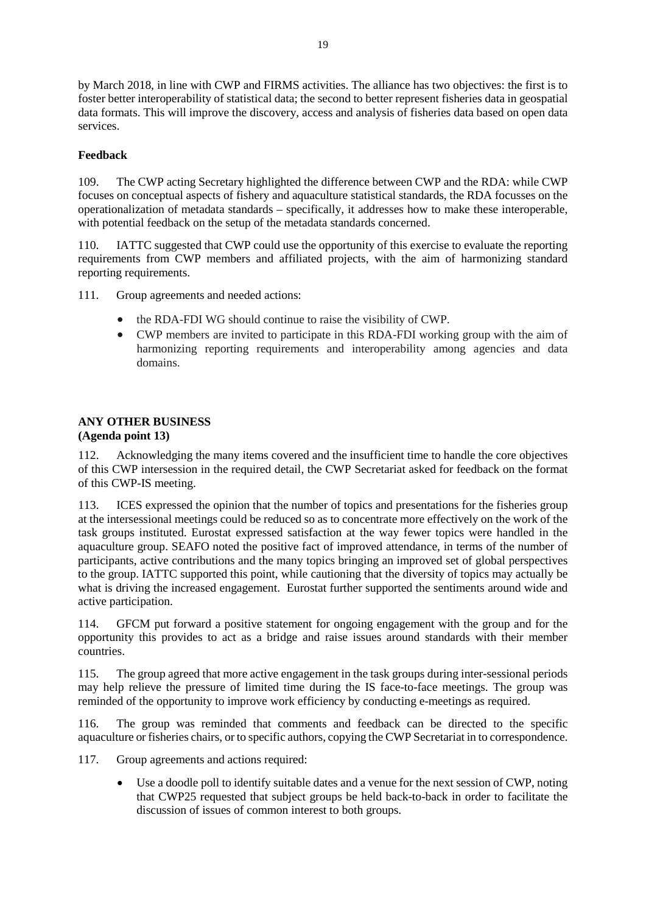by March 2018, in line with CWP and FIRMS activities. The alliance has two objectives: the first is to foster better interoperability of statistical data; the second to better represent fisheries data in geospatial data formats. This will improve the discovery, access and analysis of fisheries data based on open data services.

### **Feedback**

109. The CWP acting Secretary highlighted the difference between CWP and the RDA: while CWP focuses on conceptual aspects of fishery and aquaculture statistical standards, the RDA focusses on the operationalization of metadata standards – specifically, it addresses how to make these interoperable, with potential feedback on the setup of the metadata standards concerned.

110. IATTC suggested that CWP could use the opportunity of this exercise to evaluate the reporting requirements from CWP members and affiliated projects, with the aim of harmonizing standard reporting requirements.

111. Group agreements and needed actions:

- the RDA-FDI WG should continue to raise the visibility of CWP.
- CWP members are invited to participate in this RDA-FDI working group with the aim of harmonizing reporting requirements and interoperability among agencies and data domains.

### <span id="page-26-0"></span>**ANY OTHER BUSINESS (Agenda point 13)**

112. Acknowledging the many items covered and the insufficient time to handle the core objectives of this CWP intersession in the required detail, the CWP Secretariat asked for feedback on the format of this CWP-IS meeting.

113. ICES expressed the opinion that the number of topics and presentations for the fisheries group at the intersessional meetings could be reduced so as to concentrate more effectively on the work of the task groups instituted. Eurostat expressed satisfaction at the way fewer topics were handled in the aquaculture group. SEAFO noted the positive fact of improved attendance, in terms of the number of participants, active contributions and the many topics bringing an improved set of global perspectives to the group. IATTC supported this point, while cautioning that the diversity of topics may actually be what is driving the increased engagement. Eurostat further supported the sentiments around wide and active participation.

114. GFCM put forward a positive statement for ongoing engagement with the group and for the opportunity this provides to act as a bridge and raise issues around standards with their member countries.

115. The group agreed that more active engagement in the task groups during inter-sessional periods may help relieve the pressure of limited time during the IS face-to-face meetings. The group was reminded of the opportunity to improve work efficiency by conducting e-meetings as required.

116. The group was reminded that comments and feedback can be directed to the specific aquaculture or fisheries chairs, or to specific authors, copying the CWP Secretariat in to correspondence.

- 117. Group agreements and actions required:
	- Use a doodle poll to identify suitable dates and a venue for the next session of CWP, noting that CWP25 requested that subject groups be held back-to-back in order to facilitate the discussion of issues of common interest to both groups.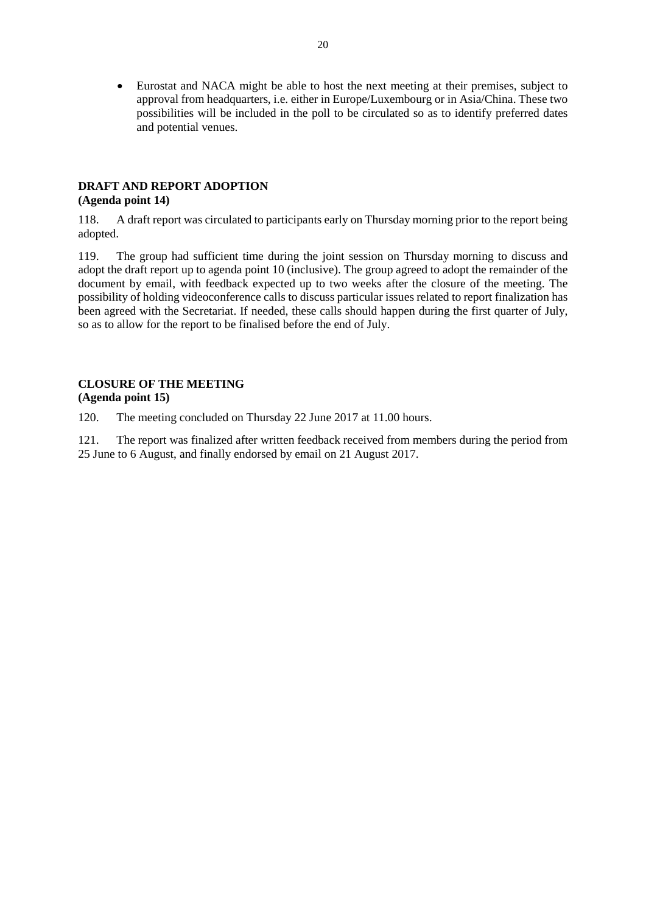• Eurostat and NACA might be able to host the next meeting at their premises, subject to approval from headquarters, i.e. either in Europe/Luxembourg or in Asia/China. These two possibilities will be included in the poll to be circulated so as to identify preferred dates and potential venues.

# <span id="page-27-0"></span>**DRAFT AND REPORT ADOPTION**

### **(Agenda point 14)**

118. A draft report was circulated to participants early on Thursday morning prior to the report being adopted.

119. The group had sufficient time during the joint session on Thursday morning to discuss and adopt the draft report up to agenda point 10 (inclusive). The group agreed to adopt the remainder of the document by email, with feedback expected up to two weeks after the closure of the meeting. The possibility of holding videoconference calls to discuss particular issues related to report finalization has been agreed with the Secretariat. If needed, these calls should happen during the first quarter of July, so as to allow for the report to be finalised before the end of July.

### <span id="page-27-1"></span>**CLOSURE OF THE MEETING (Agenda point 15)**

120. The meeting concluded on Thursday 22 June 2017 at 11.00 hours.

121. The report was finalized after written feedback received from members during the period from 25 June to 6 August, and finally endorsed by email on 21 August 2017.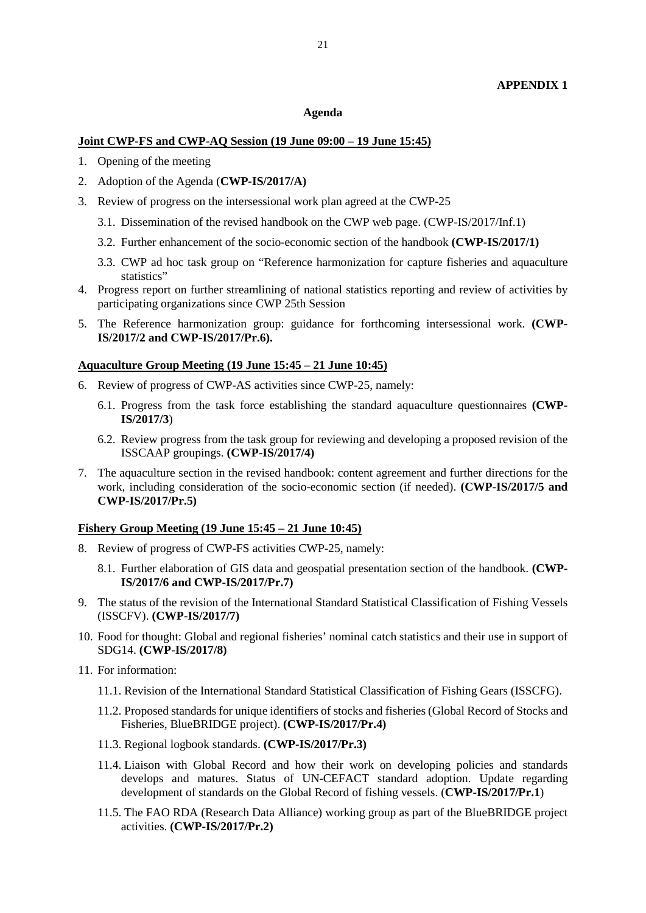### **APPENDIX 1**

#### **Agenda**

#### **Joint CWP-FS and CWP-AQ Session (19 June 09:00 – 19 June 15:45)**

- 1. Opening of the meeting
- 2. Adoption of the Agenda (**CWP-IS/2017/A)**
- 3. Review of progress on the intersessional work plan agreed at the CWP-25
	- 3.1. Dissemination of the revised handbook on the CWP web page. (CWP-IS/2017/Inf.1)
	- 3.2. Further enhancement of the socio-economic section of the handbook **(CWP-IS/2017/1)**
	- 3.3. CWP ad hoc task group on "Reference harmonization for capture fisheries and aquaculture statistics"
- 4. Progress report on further streamlining of national statistics reporting and review of activities by participating organizations since CWP 25th Session
- 5. The Reference harmonization group: guidance for forthcoming intersessional work. **(CWP-IS/2017/2 and CWP-IS/2017/Pr.6).**

#### **Aquaculture Group Meeting (19 June 15:45 – 21 June 10:45)**

- 6. Review of progress of CWP-AS activities since CWP-25, namely:
	- 6.1. Progress from the task force establishing the standard aquaculture questionnaires **(CWP-IS/2017/3**)
	- 6.2. Review progress from the task group for reviewing and developing a proposed revision of the ISSCAAP groupings. **(CWP-IS/2017/4)**
- 7. The aquaculture section in the revised handbook: content agreement and further directions for the work, including consideration of the socio-economic section (if needed). **(CWP-IS/2017/5 and CWP-IS/2017/Pr.5)**

### **Fishery Group Meeting (19 June 15:45 – 21 June 10:45)**

- 8. Review of progress of CWP-FS activities CWP-25, namely:
	- 8.1. Further elaboration of GIS data and geospatial presentation section of the handbook. **(CWP-IS/2017/6 and CWP-IS/2017/Pr.7)**
- 9. The status of the revision of the International Standard Statistical Classification of Fishing Vessels (ISSCFV). **(CWP-IS/2017/7)**
- 10. Food for thought: Global and regional fisheries' nominal catch statistics and their use in support of SDG14. **(CWP-IS/2017/8)**
- 11. For information:
	- 11.1. Revision of the International Standard Statistical Classification of Fishing Gears (ISSCFG).
	- 11.2. Proposed standards for unique identifiers of stocks and fisheries (Global Record of Stocks and Fisheries, BlueBRIDGE project). **(CWP-IS/2017/Pr.4)**
	- 11.3. Regional logbook standards. **(CWP-IS/2017/Pr.3)**
	- 11.4. Liaison with Global Record and how their work on developing policies and standards develops and matures. Status of UN-CEFACT standard adoption. Update regarding development of standards on the Global Record of fishing vessels. (**CWP-IS/2017/Pr.1**)
	- 11.5. The FAO RDA (Research Data Alliance) working group as part of the BlueBRIDGE project activities. **(CWP-IS/2017/Pr.2)**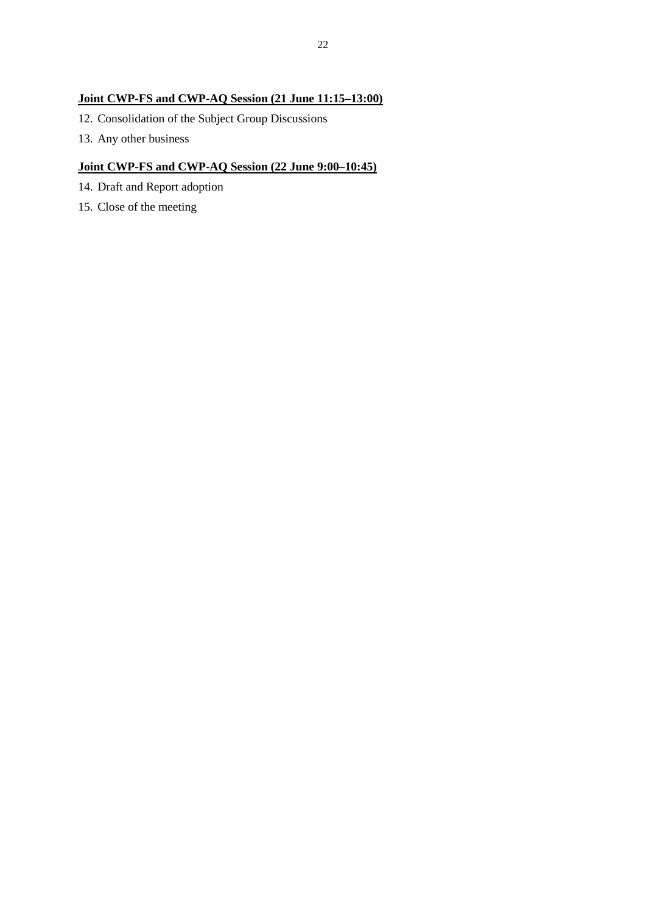# **Joint CWP-FS and CWP-AQ Session (21 June 11:15–13:00)**

- 12. Consolidation of the Subject Group Discussions
- 13. Any other business

# **Joint CWP-FS and CWP-AQ Session (22 June 9:00–10:45)**

- 14. Draft and Report adoption
- 15. Close of the meeting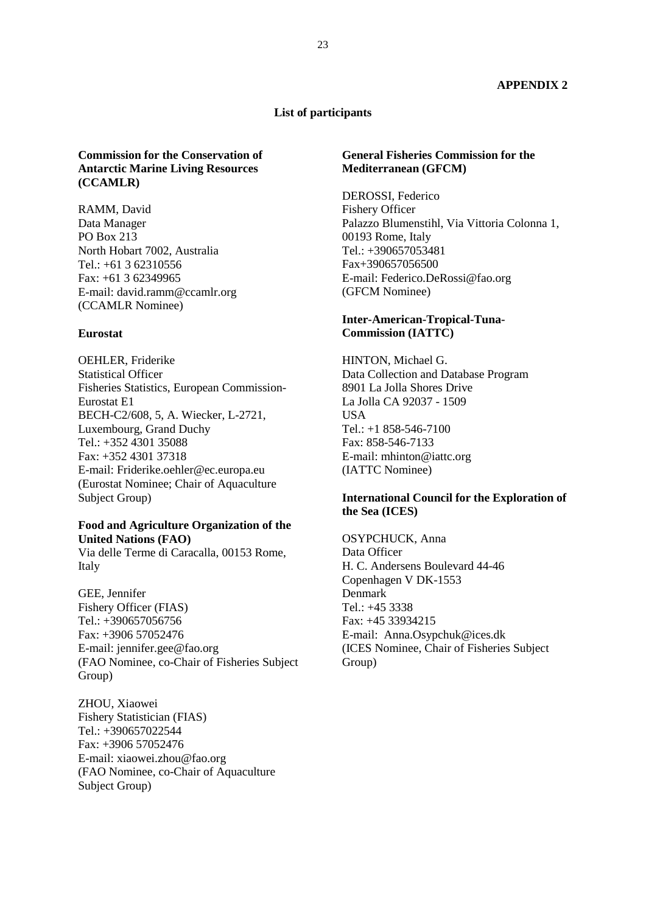#### **APPENDIX 2**

#### **List of participants**

### **Commission for the Conservation of Antarctic Marine Living Resources (CCAMLR)**

RAMM, David Data Manager PO Box 213 North Hobart 7002, Australia Tel.: +61 3 62310556 Fax: +61 3 62349965 E-mail: david.ramm@ccamlr.org (CCAMLR Nominee)

#### **Eurostat**

OEHLER, Friderike Statistical Officer Fisheries Statistics, European Commission-Eurostat E1 BECH-C2/608, 5, A. Wiecker, L-2721, Luxembourg, Grand Duchy Tel.: +352 4301 35088 Fax: +352 4301 37318 E-mail: Friderike.oehler@ec.europa.eu (Eurostat Nominee; Chair of Aquaculture Subject Group)

#### **Food and Agriculture Organization of the United Nations (FAO)**

Via delle Terme di Caracalla, 00153 Rome, Italy

GEE, Jennifer Fishery Officer (FIAS) Tel.: +390657056756 Fax: +3906 57052476 E-mail: jennifer.gee@fao.org (FAO Nominee, co-Chair of Fisheries Subject Group)

ZHOU, Xiaowei Fishery Statistician (FIAS) Tel.: +390657022544 Fax: +3906 57052476 E-mail: xiaowei.zhou@fao.org (FAO Nominee, co-Chair of Aquaculture Subject Group)

### **General Fisheries Commission for the Mediterranean (GFCM)**

DEROSSI, Federico Fishery Officer Palazzo Blumenstihl, Via Vittoria Colonna 1, 00193 Rome, Italy Tel.: +390657053481 Fax+390657056500 E-mail: Federico.DeRossi@fao.org (GFCM Nominee)

### **Inter-American-Tropical-Tuna-Commission (IATTC)**

HINTON, Michael G. Data Collection and Database Program 8901 La Jolla Shores Drive La Jolla CA 92037 - 1509 USA Tel.: +1 858-546-7100 Fax: 858-546-7133 E-mail: mhinton@iattc.org (IATTC Nominee)

### **International Council for the Exploration of the Sea (ICES)**

OSYPCHUCK, Anna Data Officer H. C. Andersens Boulevard 44-46 Copenhagen V DK-1553 Denmark Tel.: +45 3338 Fax: +45 33934215 E-mail: Anna.Osypchuk@ices.dk (ICES Nominee, Chair of Fisheries Subject Group)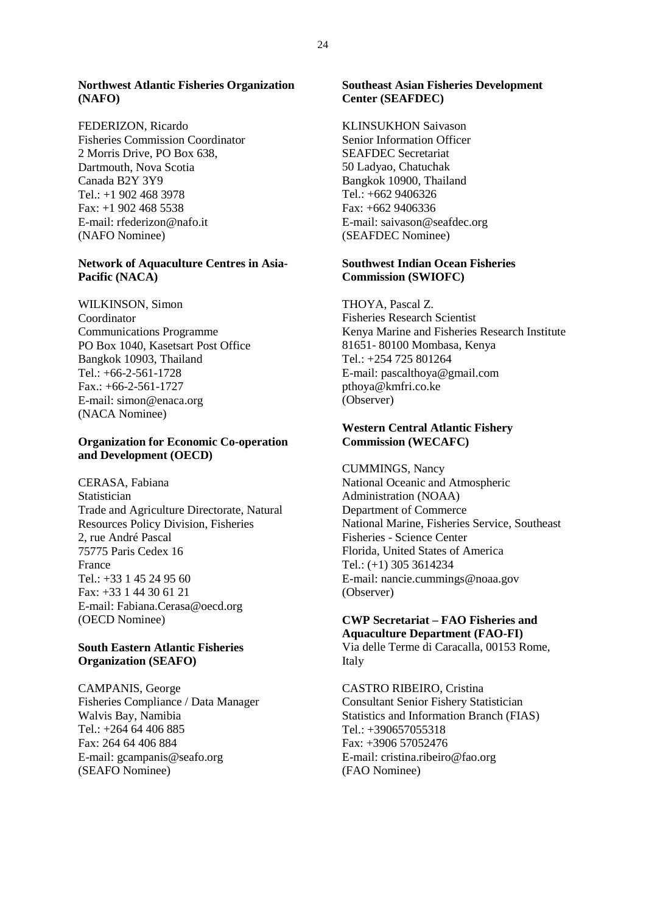#### **Northwest Atlantic Fisheries Organization (NAFO)**

FEDERIZON, Ricardo Fisheries Commission Coordinator 2 Morris Drive, PO Box 638, Dartmouth, Nova Scotia Canada B2Y 3Y9 Tel.: +1 902 468 3978 Fax: +1 902 468 5538 E-mail: rfederizon@nafo.it (NAFO Nominee)

### **Network of Aquaculture Centres in Asia-Pacific (NACA)**

WILKINSON, Simon Coordinator Communications Programme PO Box 1040, Kasetsart Post Office Bangkok 10903, Thailand Tel.: +66-2-561-1728 Fax.: +66-2-561-1727 E-mail: simon@enaca.org (NACA Nominee)

### **Organization for Economic Co-operation and Development (OECD)**

CERASA, Fabiana **Statistician** Trade and Agriculture Directorate, Natural Resources Policy Division, Fisheries 2, rue André Pascal 75775 Paris Cedex 16 France Tel.:  $+33$  1 45 24 95 60 Fax: +33 1 44 30 61 21 E-mail: Fabiana.Cerasa@oecd.org (OECD Nominee)

### **South Eastern Atlantic Fisheries Organization (SEAFO)**

CAMPANIS, George Fisheries Compliance / Data Manager Walvis Bay, Namibia Tel.: +264 64 406 885 Fax: 264 64 406 884 E-mail: gcampanis@seafo.org (SEAFO Nominee)

### **Southeast Asian Fisheries Development Center (SEAFDEC)**

KLINSUKHON Saivason Senior Information Officer SEAFDEC Secretariat 50 Ladyao, Chatuchak Bangkok 10900, Thailand Tel.: +662 9406326 Fax: +662 9406336 E-mail: saivason@seafdec.org (SEAFDEC Nominee)

### **Southwest Indian Ocean Fisheries Commission (SWIOFC)**

THOYA, Pascal Z. Fisheries Research Scientist Kenya Marine and Fisheries Research Institute 81651- 80100 Mombasa, Kenya Tel.: +254 725 801264 E-mail: pascalthoya@gmail.com pthoya@kmfri.co.ke (Observer)

### **Western Central Atlantic Fishery Commission (WECAFC)**

CUMMINGS, Nancy National Oceanic and Atmospheric Administration (NOAA) Department of Commerce National Marine, Fisheries Service, Southeast Fisheries - Science Center Florida, United States of America Tel.: (+1) 305 3614234 E-mail: nancie.cummings@noaa.gov (Observer)

### **CWP Secretariat – FAO Fisheries and Aquaculture Department (FAO-FI)** Via delle Terme di Caracalla, 00153 Rome,

Italy

CASTRO RIBEIRO, Cristina Consultant Senior Fishery Statistician Statistics and Information Branch (FIAS) Tel.: +390657055318 Fax: +3906 57052476 E-mail: cristina.ribeiro@fao.org (FAO Nominee)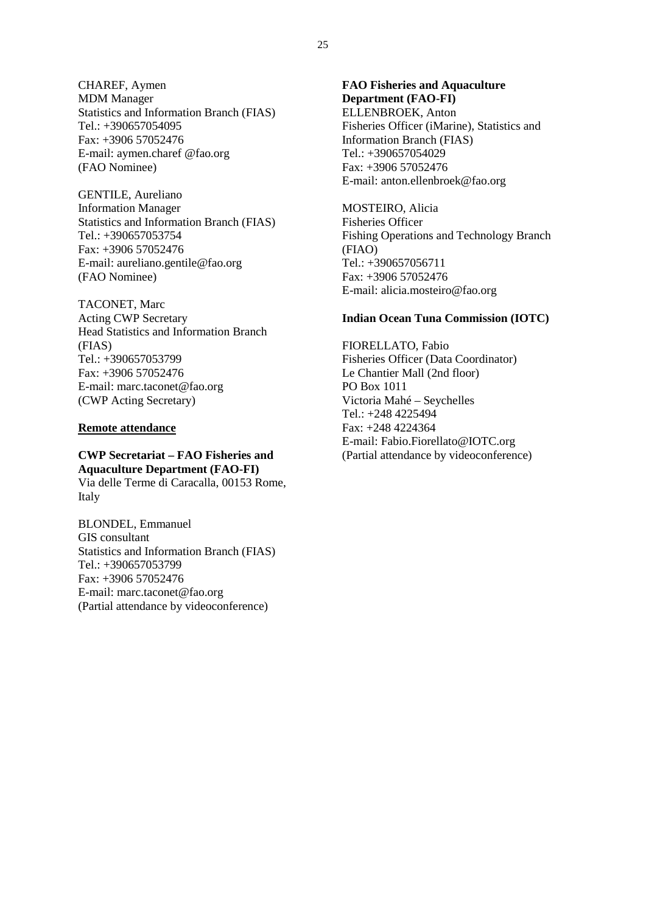CHAREF, Aymen MDM Manager Statistics and Information Branch (FIAS) Tel.: +390657054095 Fax: +3906 57052476 E-mail: aymen.charef @fao.org (FAO Nominee)

GENTILE, Aureliano Information Manager Statistics and Information Branch (FIAS) Tel.: +390657053754 Fax: +3906 57052476 E-mail: aureliano.gentile@fao.org (FAO Nominee)

TACONET, Marc Acting CWP Secretary Head Statistics and Information Branch (FIAS) Tel.: +390657053799 Fax: +3906 57052476 E-mail: marc.taconet@fao.org (CWP Acting Secretary)

#### **Remote attendance**

**CWP Secretariat – FAO Fisheries and Aquaculture Department (FAO-FI)** Via delle Terme di Caracalla, 00153 Rome, Italy

BLONDEL, Emmanuel GIS consultant Statistics and Information Branch (FIAS) Tel.: +390657053799 Fax: +3906 57052476 E-mail: marc.taconet@fao.org (Partial attendance by videoconference)

### **FAO Fisheries and Aquaculture Department (FAO-FI)** ELLENBROEK, Anton Fisheries Officer (iMarine), Statistics and Information Branch (FIAS) Tel.: +390657054029 Fax: +3906 57052476 E-mail: anton.ellenbroek@fao.org

MOSTEIRO, Alicia Fisheries Officer Fishing Operations and Technology Branch (FIAO) Tel.: +390657056711 Fax: +3906 57052476 E-mail: alicia.mosteiro@fao.org

### **Indian Ocean Tuna Commission (IOTC)**

FIORELLATO, Fabio Fisheries Officer (Data Coordinator) Le Chantier Mall (2nd floor) PO Box 1011 Victoria Mahé – Seychelles Tel.: +248 4225494 Fax: +248 4224364 E-mail: Fabio.Fiorellato@IOTC.org (Partial attendance by videoconference)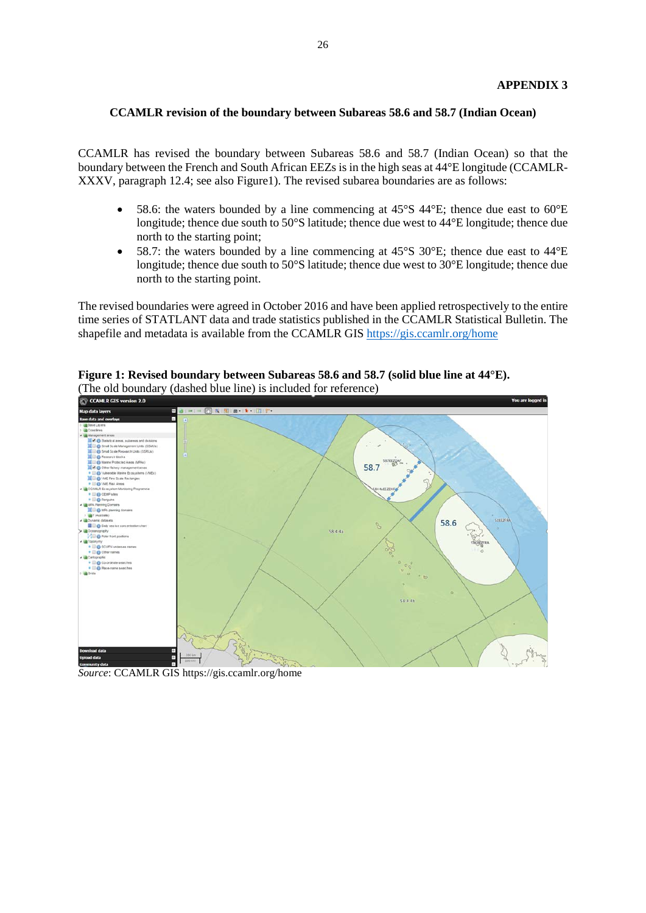### **CCAMLR revision of the boundary between Subareas 58.6 and 58.7 (Indian Ocean)**

CCAMLR has revised the boundary between Subareas 58.6 and 58.7 (Indian Ocean) so that the boundary between the French and South African EEZs is in the high seas at 44°E longitude (CCAMLR-XXXV, paragraph 12.4; see also Figure1). The revised subarea boundaries are as follows:

- 58.6: the waters bounded by a line commencing at  $45^{\circ}S$  44 $^{\circ}E$ ; thence due east to  $60^{\circ}E$ longitude; thence due south to 50°S latitude; thence due west to 44°E longitude; thence due north to the starting point;
- 58.7: the waters bounded by a line commencing at 45°S 30°E; thence due east to 44°E longitude; thence due south to 50°S latitude; thence due west to 30°E longitude; thence due north to the starting point.

The revised boundaries were agreed in October 2016 and have been applied retrospectively to the entire time series of STATLANT data and trade statistics published in the CCAMLR Statistical Bulletin. The shapefile and metadata is available from the CCAMLR GIS<https://gis.ccamlr.org/home>

**Figure 1: Revised boundary between Subareas 58.6 and 58.7 (solid blue line at 44°E).** (The old boundary (dashed blue line) is included for reference)<br>  $\sum_{n=1}^{\infty}$  CCAMIR GIS version 2.0



*Source*: CCAMLR GIS https://gis.ccamlr.org/home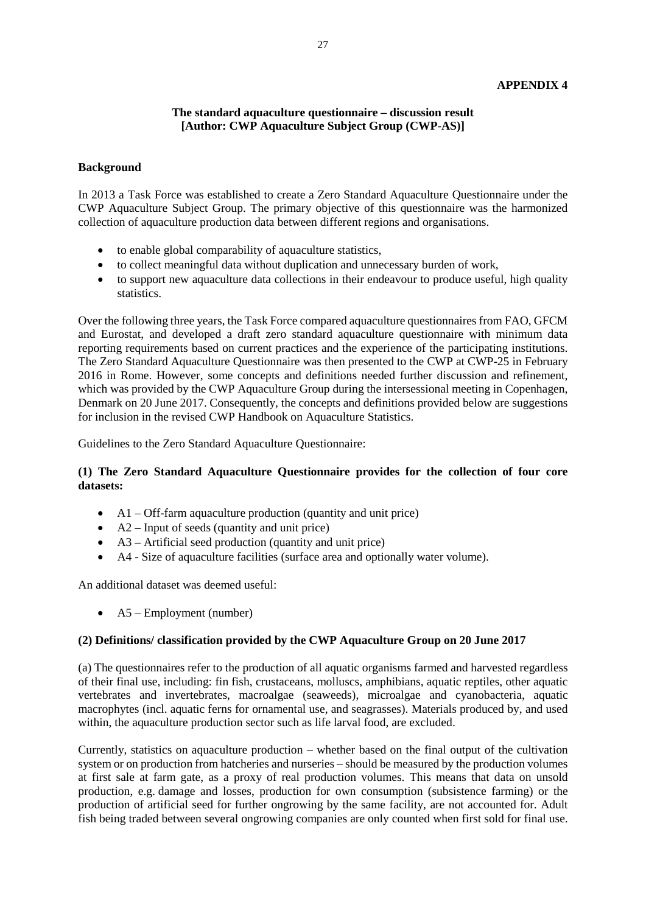### **APPENDIX 4**

### **The standard aquaculture questionnaire – discussion result [Author: CWP Aquaculture Subject Group (CWP-AS)]**

#### **Background**

In 2013 a Task Force was established to create a Zero Standard Aquaculture Questionnaire under the CWP Aquaculture Subject Group. The primary objective of this questionnaire was the harmonized collection of aquaculture production data between different regions and organisations.

- to enable global comparability of aquaculture statistics,
- to collect meaningful data without duplication and unnecessary burden of work,
- to support new aquaculture data collections in their endeavour to produce useful, high quality statistics.

Over the following three years, the Task Force compared aquaculture questionnaires from FAO, GFCM and Eurostat, and developed a draft zero standard aquaculture questionnaire with minimum data reporting requirements based on current practices and the experience of the participating institutions. The Zero Standard Aquaculture Questionnaire was then presented to the CWP at CWP-25 in February 2016 in Rome. However, some concepts and definitions needed further discussion and refinement, which was provided by the CWP Aquaculture Group during the intersessional meeting in Copenhagen, Denmark on 20 June 2017. Consequently, the concepts and definitions provided below are suggestions for inclusion in the revised CWP Handbook on Aquaculture Statistics.

Guidelines to the Zero Standard Aquaculture Questionnaire:

### **(1) The Zero Standard Aquaculture Questionnaire provides for the collection of four core datasets:**

- A1 Off-farm aquaculture production (quantity and unit price)
- A2 Input of seeds (quantity and unit price)
- A3 Artificial seed production (quantity and unit price)
- A4 Size of aquaculture facilities (surface area and optionally water volume).

An additional dataset was deemed useful:

•  $A5$  – Employment (number)

#### **(2) Definitions/ classification provided by the CWP Aquaculture Group on 20 June 2017**

(a) The questionnaires refer to the production of all aquatic organisms farmed and harvested regardless of their final use, including: fin fish, crustaceans, molluscs, amphibians, aquatic reptiles, other aquatic vertebrates and invertebrates, macroalgae (seaweeds), microalgae and cyanobacteria, aquatic macrophytes (incl. aquatic ferns for ornamental use, and seagrasses). Materials produced by, and used within, the aquaculture production sector such as life larval food, are excluded.

Currently, statistics on aquaculture production – whether based on the final output of the cultivation system or on production from hatcheries and nurseries – should be measured by the production volumes at first sale at farm gate, as a proxy of real production volumes. This means that data on unsold production, e.g. damage and losses, production for own consumption (subsistence farming) or the production of artificial seed for further ongrowing by the same facility, are not accounted for. Adult fish being traded between several ongrowing companies are only counted when first sold for final use.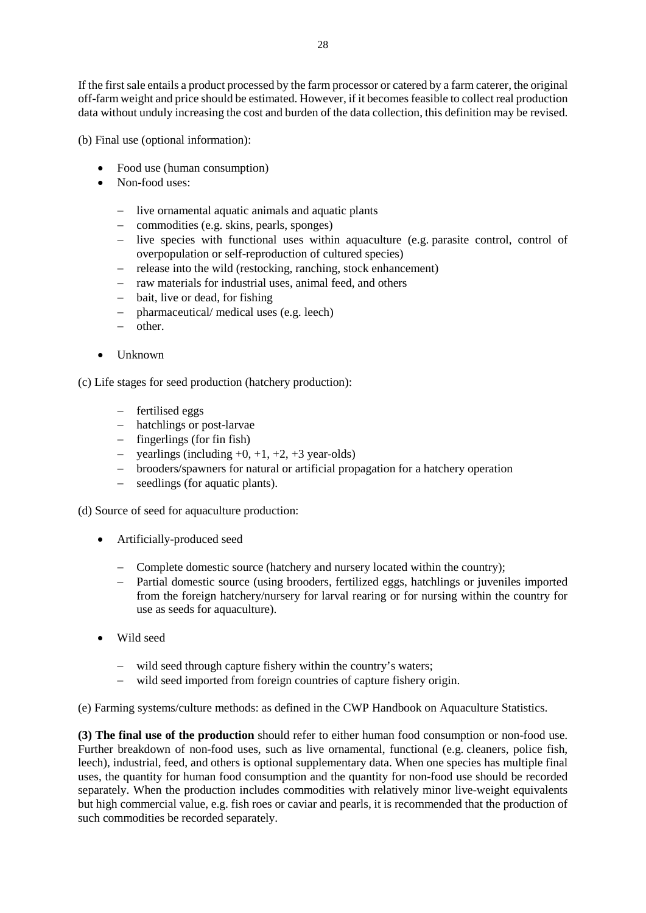If the first sale entails a product processed by the farm processor or catered by a farm caterer, the original off-farm weight and price should be estimated. However, if it becomes feasible to collect real production data without unduly increasing the cost and burden of the data collection, this definition may be revised.

(b) Final use (optional information):

- Food use (human consumption)
- Non-food uses:
	- − live ornamental aquatic animals and aquatic plants
	- − commodities (e.g. skins, pearls, sponges)
	- − live species with functional uses within aquaculture (e.g. parasite control, control of overpopulation or self-reproduction of cultured species)
	- − release into the wild (restocking, ranching, stock enhancement)
	- − raw materials for industrial uses, animal feed, and others
	- bait, live or dead, for fishing
	- − pharmaceutical/ medical uses (e.g. leech)
	- − other.
- Unknown

(c) Life stages for seed production (hatchery production):

- − fertilised eggs
- − hatchlings or post-larvae
- − fingerlings (for fin fish)
- − yearlings (including +0, +1, +2, +3 year-olds)
- − brooders/spawners for natural or artificial propagation for a hatchery operation
- − seedlings (for aquatic plants).

(d) Source of seed for aquaculture production:

- Artificially-produced seed
	- − Complete domestic source (hatchery and nursery located within the country);
	- − Partial domestic source (using brooders, fertilized eggs, hatchlings or juveniles imported from the foreign hatchery/nursery for larval rearing or for nursing within the country for use as seeds for aquaculture).
- Wild seed
	- − wild seed through capture fishery within the country's waters;
	- − wild seed imported from foreign countries of capture fishery origin.

(e) Farming systems/culture methods: as defined in the CWP Handbook on Aquaculture Statistics.

**(3) The final use of the production** should refer to either human food consumption or non-food use. Further breakdown of non-food uses, such as live ornamental, functional (e.g. cleaners, police fish, leech), industrial, feed, and others is optional supplementary data. When one species has multiple final uses, the quantity for human food consumption and the quantity for non-food use should be recorded separately. When the production includes commodities with relatively minor live-weight equivalents but high commercial value, e.g. fish roes or caviar and pearls, it is recommended that the production of such commodities be recorded separately.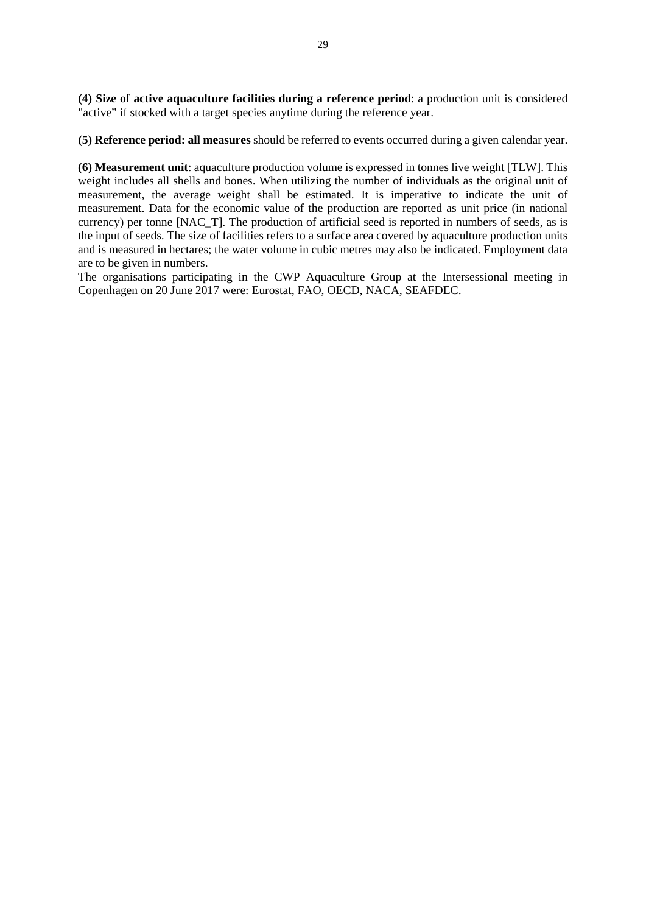**(4) Size of active aquaculture facilities during a reference period**: a production unit is considered "active" if stocked with a target species anytime during the reference year.

**(5) Reference period: all measures** should be referred to events occurred during a given calendar year.

**(6) Measurement unit**: aquaculture production volume is expressed in tonnes live weight [TLW]. This weight includes all shells and bones. When utilizing the number of individuals as the original unit of measurement, the average weight shall be estimated. It is imperative to indicate the unit of measurement. Data for the economic value of the production are reported as unit price (in national currency) per tonne [NAC\_T]. The production of artificial seed is reported in numbers of seeds, as is the input of seeds. The size of facilities refers to a surface area covered by aquaculture production units and is measured in hectares; the water volume in cubic metres may also be indicated. Employment data are to be given in numbers.

The organisations participating in the CWP Aquaculture Group at the Intersessional meeting in Copenhagen on 20 June 2017 were: Eurostat, FAO, OECD, NACA, SEAFDEC.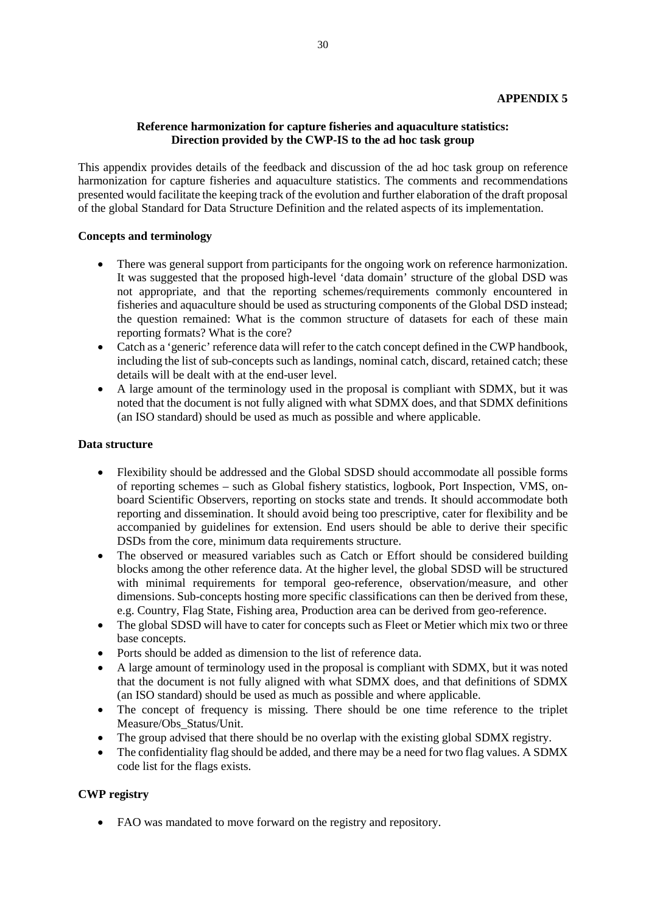### **Reference harmonization for capture fisheries and aquaculture statistics: Direction provided by the CWP-IS to the ad hoc task group**

This appendix provides details of the feedback and discussion of the ad hoc task group on reference harmonization for capture fisheries and aquaculture statistics. The comments and recommendations presented would facilitate the keeping track of the evolution and further elaboration of the draft proposal of the global Standard for Data Structure Definition and the related aspects of its implementation.

### **Concepts and terminology**

- There was general support from participants for the ongoing work on reference harmonization. It was suggested that the proposed high-level 'data domain' structure of the global DSD was not appropriate, and that the reporting schemes/requirements commonly encountered in fisheries and aquaculture should be used as structuring components of the Global DSD instead; the question remained: What is the common structure of datasets for each of these main reporting formats? What is the core?
- Catch as a 'generic' reference data will refer to the catch concept defined in the CWP handbook, including the list of sub-concepts such as landings, nominal catch, discard, retained catch; these details will be dealt with at the end-user level.
- A large amount of the terminology used in the proposal is compliant with SDMX, but it was noted that the document is not fully aligned with what SDMX does, and that SDMX definitions (an ISO standard) should be used as much as possible and where applicable.

### **Data structure**

- Flexibility should be addressed and the Global SDSD should accommodate all possible forms of reporting schemes – such as Global fishery statistics, logbook, Port Inspection, VMS, onboard Scientific Observers, reporting on stocks state and trends. It should accommodate both reporting and dissemination. It should avoid being too prescriptive, cater for flexibility and be accompanied by guidelines for extension. End users should be able to derive their specific DSDs from the core, minimum data requirements structure.
- The observed or measured variables such as Catch or Effort should be considered building blocks among the other reference data. At the higher level, the global SDSD will be structured with minimal requirements for temporal geo-reference, observation/measure, and other dimensions. Sub-concepts hosting more specific classifications can then be derived from these, e.g. Country, Flag State, Fishing area, Production area can be derived from geo-reference.
- The global SDSD will have to cater for concepts such as Fleet or Metier which mix two or three base concepts.
- Ports should be added as dimension to the list of reference data.
- A large amount of terminology used in the proposal is compliant with SDMX, but it was noted that the document is not fully aligned with what SDMX does, and that definitions of SDMX (an ISO standard) should be used as much as possible and where applicable.
- The concept of frequency is missing. There should be one time reference to the triplet Measure/Obs\_Status/Unit.
- The group advised that there should be no overlap with the existing global SDMX registry.
- The confidentiality flag should be added, and there may be a need for two flag values. A SDMX code list for the flags exists.

### **CWP registry**

• FAO was mandated to move forward on the registry and repository.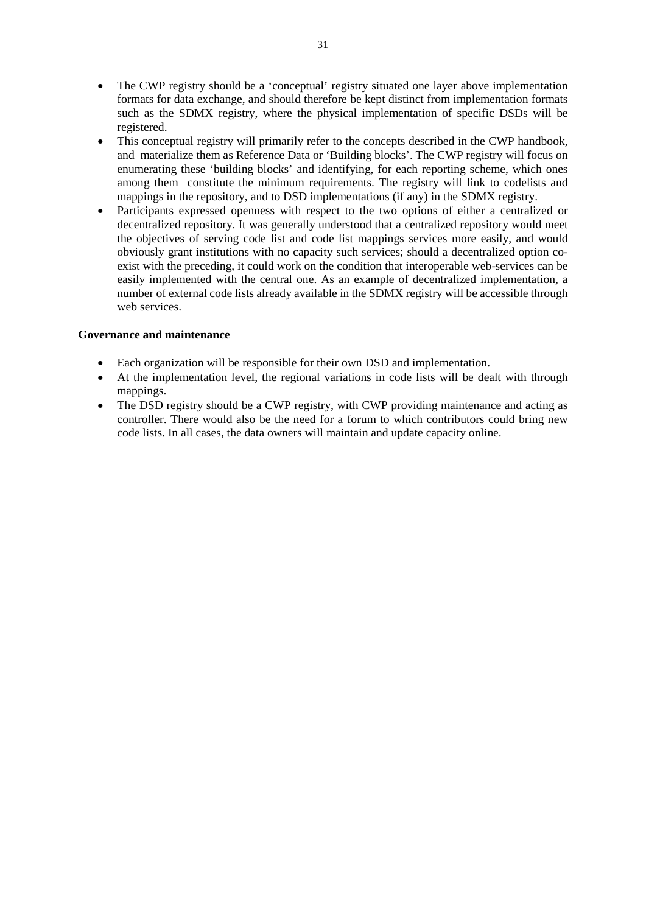- The CWP registry should be a 'conceptual' registry situated one layer above implementation formats for data exchange, and should therefore be kept distinct from implementation formats such as the SDMX registry, where the physical implementation of specific DSDs will be registered.
- This conceptual registry will primarily refer to the concepts described in the CWP handbook, and materialize them as Reference Data or 'Building blocks'. The CWP registry will focus on enumerating these 'building blocks' and identifying, for each reporting scheme, which ones among them constitute the minimum requirements. The registry will link to codelists and mappings in the repository, and to DSD implementations (if any) in the SDMX registry.
- Participants expressed openness with respect to the two options of either a centralized or decentralized repository. It was generally understood that a centralized repository would meet the objectives of serving code list and code list mappings services more easily, and would obviously grant institutions with no capacity such services; should a decentralized option coexist with the preceding, it could work on the condition that interoperable web-services can be easily implemented with the central one. As an example of decentralized implementation, a number of external code lists already available in the SDMX registry will be accessible through web services.

### **Governance and maintenance**

- Each organization will be responsible for their own DSD and implementation.
- At the implementation level, the regional variations in code lists will be dealt with through mappings.
- The DSD registry should be a CWP registry, with CWP providing maintenance and acting as controller. There would also be the need for a forum to which contributors could bring new code lists. In all cases, the data owners will maintain and update capacity online.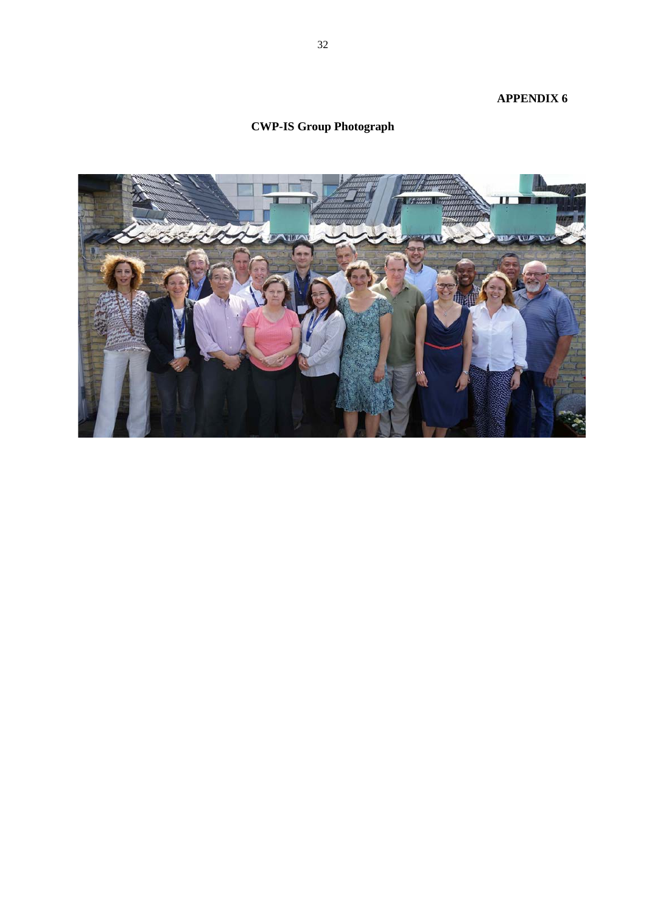# **APPENDIX 6**

# **CWP-IS Group Photograph**